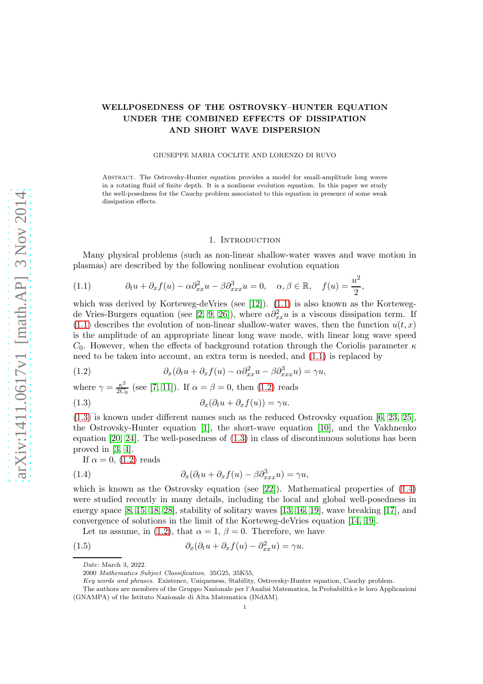# WELLPOSEDNESS OF THE OSTROVSKY–HUNTER EQUATION UNDER THE COMBINED EFFECTS OF DISSIPATION AND SHORT WAVE DISPERSION

#### GIUSEPPE MARIA COCLITE AND LORENZO DI RUVO

Abstract. The Ostrovsky-Hunter equation provides a model for small-amplitude long waves in a rotating fluid of finite depth. It is a nonlinear evolution equation. In this paper we study the well-posedness for the Cauchy problem associated to this equation in presence of some weak dissipation effects.

#### 1. Introduction

Many physical problems (such as non-linear shallow-water waves and wave motion in plasmas) are described by the following nonlinear evolution equation

,

<span id="page-0-0"></span>(1.1) 
$$
\partial_t u + \partial_x f(u) - \alpha \partial_{xx}^2 u - \beta \partial_{xxx}^3 u = 0, \quad \alpha, \beta \in \mathbb{R}, \quad f(u) = \frac{u^2}{2}
$$

which was derived by Korteweg-deVries (see [\[12\]](#page-20-0)). [\(1.1\)](#page-0-0) is also known as the Korteweg-de Vries-Burgers equation (see [\[2,](#page-19-0) [9,](#page-20-1) [26\]](#page-20-2)), where  $\alpha \partial_{xx}^2 u$  is a viscous dissipation term. If  $(1.1)$  describes the evolution of non-linear shallow-water waves, then the function  $u(t, x)$ is the amplitude of an appropriate linear long wave mode, with linear long wave speed  $C_0$ . However, when the effects of background rotation through the Coriolis parameter  $\kappa$ need to be taken into account, an extra term is needed, and [\(1.1\)](#page-0-0) is replaced by

<span id="page-0-1"></span>(1.2) 
$$
\partial_x(\partial_t u + \partial_x f(u) - \alpha \partial_{xx}^2 u - \beta \partial_{xxx}^3 u) = \gamma u,
$$

where  $\gamma = \frac{\kappa^2}{2C}$  $\frac{\kappa^2}{2C_0}$  (see [\[7,](#page-19-1) [11\]](#page-20-3)). If  $\alpha = \beta = 0$ , then [\(1.2\)](#page-0-1) reads

<span id="page-0-2"></span>(1.3)  $\partial_x(\partial_t u + \partial_x f(u)) = \gamma u.$ 

[\(1.3\)](#page-0-2) is known under different names such as the reduced Ostrovsky equation [\[6,](#page-19-2) [23,](#page-20-4) [25\]](#page-20-5), the Ostrovsky-Hunter equation [\[1\]](#page-19-3), the short-wave equation [\[10\]](#page-20-6), and the Vakhnenko equation [\[20,](#page-20-7) [24\]](#page-20-8). The well-posedness of [\(1.3\)](#page-0-2) in class of discontinuous solutions has been proved in [\[3,](#page-19-4) [4\]](#page-19-5).

<span id="page-0-3"></span>If  $\alpha = 0$ , [\(1.2\)](#page-0-1) reads

(1.4) 
$$
\partial_x(\partial_t u + \partial_x f(u) - \beta \partial_{xxx}^3 u) = \gamma u,
$$

which is known as the Ostrovsky equation (see [\[22\]](#page-20-9)). Mathematical properties of  $(1.4)$ were studied recently in many details, including the local and global well-posedness in energy space [\[8,](#page-20-10) [15,](#page-20-11) [18,](#page-20-12) [28\]](#page-20-13), stability of solitary waves [\[13,](#page-20-14) [16,](#page-20-15) [19\]](#page-20-16), wave breaking [\[17\]](#page-20-17), and convergence of solutions in the limit of the Korteweg-deVries equation [\[14,](#page-20-18) [19\]](#page-20-16).

Let us assume, in [\(1.2\)](#page-0-1), that  $\alpha = 1, \beta = 0$ . Therefore, we have

(1.5) 
$$
\partial_x(\partial_t u + \partial_x f(u) - \partial_{xx}^2 u) = \gamma u.
$$

<span id="page-0-4"></span>Date: March 3, 2022.

<sup>2000</sup> Mathematics Subject Classification. 35G25, 35K55,

Key words and phrases. Existence, Uniqueness, Stability, Ostrovsky-Hunter equation, Cauchy problem.

The authors are members of the Gruppo Nazionale per l'Analisi Matematica, la Probabilità e le loro Applicazioni (GNAMPA) of the Istituto Nazionale di Alta Matematica (INdAM).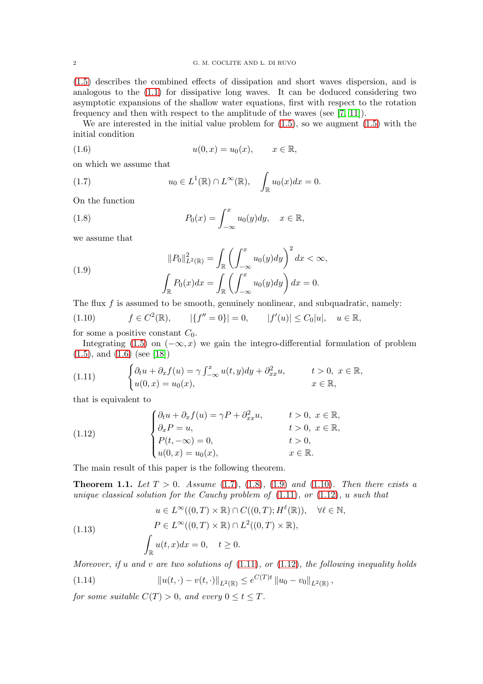[\(1.5\)](#page-0-4) describes the combined effects of dissipation and short waves dispersion, and is analogous to the [\(1.1\)](#page-0-0) for dissipative long waves. It can be deduced considering two asymptotic expansions of the shallow water equations, first with respect to the rotation frequency and then with respect to the amplitude of the waves (see [\[7,](#page-19-1) [11\]](#page-20-3)).

We are interested in the initial value problem for  $(1.5)$ , so we augment  $(1.5)$  with the initial condition

<span id="page-1-0"></span>(1.6) 
$$
u(0, x) = u_0(x), \quad x \in \mathbb{R},
$$

on which we assume that

<span id="page-1-1"></span>(1.7) 
$$
u_0 \in L^1(\mathbb{R}) \cap L^{\infty}(\mathbb{R}), \quad \int_{\mathbb{R}} u_0(x) dx = 0.
$$

On the function

<span id="page-1-2"></span>(1.8) 
$$
P_0(x) = \int_{-\infty}^x u_0(y) dy, \quad x \in \mathbb{R},
$$

we assume that

<span id="page-1-3"></span>(1.9) 
$$
||P_0||_{L^2(\mathbb{R})}^2 = \int_{\mathbb{R}} \left( \int_{-\infty}^x u_0(y) dy \right)^2 dx < \infty,
$$

$$
\int_{\mathbb{R}} P_0(x) dx = \int_{\mathbb{R}} \left( \int_{-\infty}^x u_0(y) dy \right) dx = 0.
$$

The flux  $f$  is assumed to be smooth, genuinely nonlinear, and subquadratic, namely:

<span id="page-1-4"></span>
$$
(1.10) \t f \in C^{2}(\mathbb{R}), \t |\{f'' = 0\}| = 0, \t |f'(u)| \le C_{0}|u|, \t u \in \mathbb{R},
$$

for some a positive constant  $C_0$ .

Integrating [\(1.5\)](#page-0-4) on  $(-\infty, x)$  we gain the integro-differential formulation of problem [\(1.5\)](#page-0-4), and [\(1.6\)](#page-1-0) (see [\[18\]](#page-20-12))

<span id="page-1-5"></span>(1.11) 
$$
\begin{cases} \partial_t u + \partial_x f(u) = \gamma \int_{-\infty}^x u(t, y) dy + \partial_{xx}^2 u, & t > 0, \ x \in \mathbb{R}, \\ u(0, x) = u_0(x), & x \in \mathbb{R}, \end{cases}
$$

that is equivalent to

<span id="page-1-6"></span>(1.12) 
$$
\begin{cases} \partial_t u + \partial_x f(u) = \gamma P + \partial_{xx}^2 u, & t > 0, \ x \in \mathbb{R}, \\ \partial_x P = u, & t > 0, \ x \in \mathbb{R}, \\ P(t, -\infty) = 0, & t > 0, \\ u(0, x) = u_0(x), & x \in \mathbb{R}. \end{cases}
$$

The main result of this paper is the following theorem.

<span id="page-1-7"></span>**Theorem 1.1.** Let  $T > 0$ . Assume [\(1.7\)](#page-1-1), [\(1.8\)](#page-1-2), [\(1.9\)](#page-1-3) and [\(1.10\)](#page-1-4). Then there exists a unique classical solution for the Cauchy problem of  $(1.11)$ , or  $(1.12)$ , u such that

(1.13) 
$$
u \in L^{\infty}((0, T) \times \mathbb{R}) \cap C((0, T); H^{\ell}(\mathbb{R})), \quad \forall \ell \in \mathbb{N},
$$

$$
P \in L^{\infty}((0, T) \times \mathbb{R}) \cap L^{2}((0, T) \times \mathbb{R}),
$$

$$
\int_{\mathbb{R}} u(t, x) dx = 0, \quad t \ge 0.
$$

Moreover, if u and v are two solutions of  $(1.11)$ , or  $(1.12)$ , the following inequality holds

<span id="page-1-8"></span>(1.14) 
$$
||u(t,\cdot)-v(t,\cdot)||_{L^2(\mathbb{R})}\leq e^{C(T)t}||u_0-v_0||_{L^2(\mathbb{R})},
$$

for some suitable  $C(T) > 0$ , and every  $0 \le t \le T$ .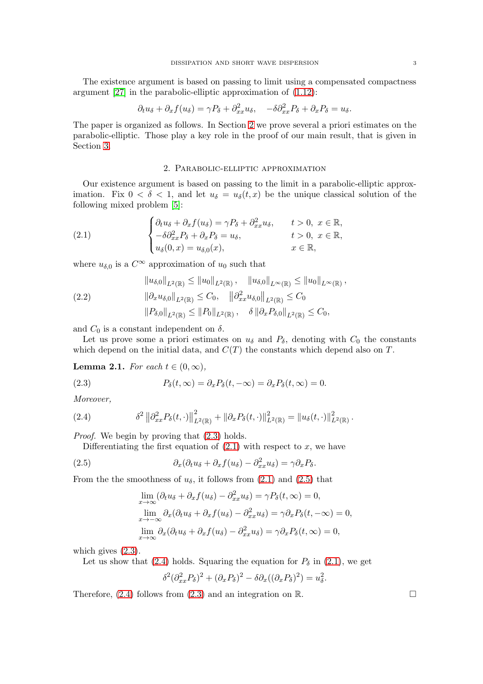The existence argument is based on passing to limit using a compensated compactness argument [\[27\]](#page-20-19) in the parabolic-elliptic approximation of [\(1.12\)](#page-1-6):

$$
\partial_t u_\delta + \partial_x f(u_\delta) = \gamma P_\delta + \partial_{xx}^2 u_\delta, \quad -\delta \partial_{xx}^2 P_\delta + \partial_x P_\delta = u_\delta.
$$

The paper is organized as follows. In Section [2](#page-2-0) we prove several a priori estimates on the parabolic-elliptic. Those play a key role in the proof of our main result, that is given in Section [3.](#page-15-0)

#### <span id="page-2-2"></span>2. Parabolic-elliptic approximation

<span id="page-2-0"></span>Our existence argument is based on passing to the limit in a parabolic-elliptic approximation. Fix  $0 < \delta < 1$ , and let  $u_{\delta} = u_{\delta}(t, x)$  be the unique classical solution of the following mixed problem [\[5\]](#page-19-6):

(2.1) 
$$
\begin{cases} \partial_t u_{\delta} + \partial_x f(u_{\delta}) = \gamma P_{\delta} + \partial_{xx}^2 u_{\delta}, & t > 0, x \in \mathbb{R}, \\ -\delta \partial_{xx}^2 P_{\delta} + \partial_x P_{\delta} = u_{\delta}, & t > 0, x \in \mathbb{R}, \\ u_{\delta}(0, x) = u_{\delta,0}(x), & x \in \mathbb{R}, \end{cases}
$$

where  $u_{\delta,0}$  is a  $C^{\infty}$  approximation of  $u_0$  such that

<span id="page-2-5"></span>
$$
\|u_{\delta,0}\|_{L^{2}(\mathbb{R})} \leq \|u_0\|_{L^{2}(\mathbb{R})}, \quad \|u_{\delta,0}\|_{L^{\infty}(\mathbb{R})} \leq \|u_0\|_{L^{\infty}(\mathbb{R})},
$$
  
(2.2)  

$$
\|\partial_x u_{\delta,0}\|_{L^{2}(\mathbb{R})} \leq C_0, \quad \|\partial_{xx}^2 u_{\delta,0}\|_{L^{2}(\mathbb{R})} \leq C_0
$$
  

$$
\|P_{\delta,0}\|_{L^{2}(\mathbb{R})} \leq \|P_0\|_{L^{2}(\mathbb{R})}, \quad \delta \|\partial_x P_{\delta,0}\|_{L^{2}(\mathbb{R})} \leq C_0,
$$

and  $C_0$  is a constant independent on  $\delta$ .

Let us prove some a priori estimates on  $u_{\delta}$  and  $P_{\delta}$ , denoting with  $C_0$  the constants which depend on the initial data, and  $C(T)$  the constants which depend also on T.

**Lemma 2.1.** For each  $t \in (0, \infty)$ ,

<span id="page-2-1"></span>(2.3) 
$$
P_{\delta}(t,\infty) = \partial_x P_{\delta}(t,-\infty) = \partial_x P_{\delta}(t,\infty) = 0.
$$

Moreover,

(2.4) 
$$
\delta^2 \left\| \partial_{xx}^2 P_\delta(t, \cdot) \right\|_{L^2(\mathbb{R})}^2 + \left\| \partial_x P_\delta(t, \cdot) \right\|_{L^2(\mathbb{R})}^2 = \left\| u_\delta(t, \cdot) \right\|_{L^2(\mathbb{R})}^2.
$$

Proof. We begin by proving that [\(2.3\)](#page-2-1) holds.

<span id="page-2-4"></span>Differentiating the first equation of  $(2.1)$  with respect to x, we have

(2.5) 
$$
\partial_x(\partial_t u_\delta + \partial_x f(u_\delta) - \partial_{xx}^2 u_\delta) = \gamma \partial_x P_\delta.
$$

From the the smoothness of  $u_{\delta}$ , it follows from [\(2.1\)](#page-2-2) and [\(2.5\)](#page-2-3) that

<span id="page-2-3"></span>
$$
\lim_{x \to \infty} (\partial_t u_\delta + \partial_x f(u_\delta) - \partial_{xx}^2 u_\delta) = \gamma P_\delta(t, \infty) = 0,
$$
  
\n
$$
\lim_{x \to -\infty} \partial_x (\partial_t u_\delta + \partial_x f(u_\delta) - \partial_{xx}^2 u_\delta) = \gamma \partial_x P_\delta(t, -\infty) = 0,
$$
  
\n
$$
\lim_{x \to \infty} \partial_x (\partial_t u_\delta + \partial_x f(u_\delta) - \partial_{xx}^2 u_\delta) = \gamma \partial_x P_\delta(t, \infty) = 0,
$$

which gives  $(2.3)$ .

Let us show that [\(2.4\)](#page-2-4) holds. Squaring the equation for  $P_\delta$  in [\(2.1\)](#page-2-2), we get

$$
\delta^2(\partial_{xx}^2 P_\delta)^2 + (\partial_x P_\delta)^2 - \delta \partial_x ((\partial_x P_\delta)^2) = u_\delta^2.
$$

Therefore,  $(2.4)$  follows from  $(2.3)$  and an integration on R.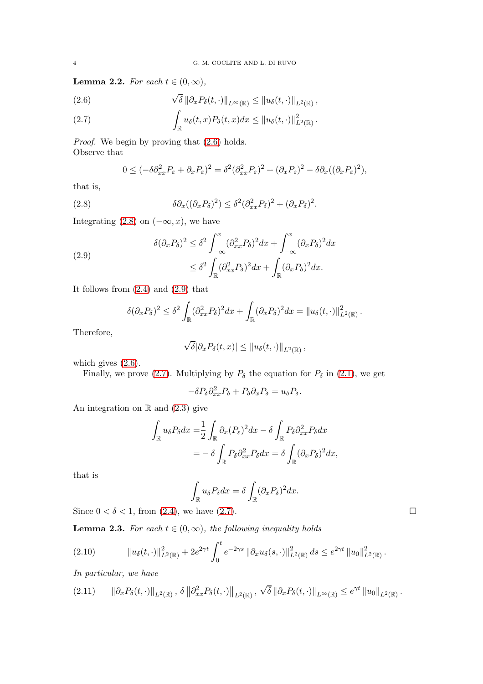**Lemma 2.2.** For each  $t \in (0, \infty)$ ,

<span id="page-3-0"></span>(2.6) 
$$
\sqrt{\delta} \|\partial_x P_\delta(t,\cdot)\|_{L^\infty(\mathbb{R})} \leq \|u_\delta(t,\cdot)\|_{L^2(\mathbb{R})},
$$

<span id="page-3-3"></span>(2.7) 
$$
\int_{\mathbb{R}} u_{\delta}(t,x) P_{\delta}(t,x) dx \leq ||u_{\delta}(t,\cdot)||_{L^{2}(\mathbb{R})}^{2}.
$$

Proof. We begin by proving that  $(2.6)$  holds. Observe that

<span id="page-3-1"></span>
$$
0 \leq (-\delta \partial_{xx}^2 P_{\varepsilon} + \partial_x P_{\varepsilon})^2 = \delta^2 (\partial_{xx}^2 P_{\varepsilon})^2 + (\partial_x P_{\varepsilon})^2 - \delta \partial_x ((\partial_x P_{\varepsilon})^2),
$$

that is,

(2.8) 
$$
\delta \partial_x ((\partial_x P_\delta)^2) \leq \delta^2 (\partial_{xx}^2 P_\delta)^2 + (\partial_x P_\delta)^2.
$$

Integrating [\(2.8\)](#page-3-1) on  $(-\infty, x)$ , we have

<span id="page-3-2"></span>(2.9)  

$$
\delta(\partial_x P_\delta)^2 \leq \delta^2 \int_{-\infty}^x (\partial_{xx}^2 P_\delta)^2 dx + \int_{-\infty}^x (\partial_x P_\delta)^2 dx
$$

$$
\leq \delta^2 \int_{\mathbb{R}} (\partial_{xx}^2 P_\delta)^2 dx + \int_{\mathbb{R}} (\partial_x P_\delta)^2 dx.
$$

It follows from  $(2.4)$  and  $(2.9)$  that

$$
\delta(\partial_x P_\delta)^2 \leq \delta^2 \int_{\mathbb{R}} (\partial_{xx}^2 P_\delta)^2 dx + \int_{\mathbb{R}} (\partial_x P_\delta)^2 dx = ||u_\delta(t, \cdot)||_{L^2(\mathbb{R})}^2.
$$

Therefore,

$$
\sqrt{\delta}|\partial_x P_\delta(t,x)| \leq ||u_\delta(t,\cdot)||_{L^2(\mathbb{R})},
$$

which gives  $(2.6)$ .

Finally, we prove [\(2.7\)](#page-3-3). Multiplying by  $P_\delta$  the equation for  $P_\delta$  in [\(2.1\)](#page-2-2), we get

$$
-\delta P_{\delta}\partial_{xx}^2 P_{\delta} + P_{\delta}\partial_x P_{\delta} = u_{\delta} P_{\delta}.
$$

An integration on  $\mathbb R$  and [\(2.3\)](#page-2-1) give

$$
\int_{\mathbb{R}} u_{\delta} P_{\delta} dx = \frac{1}{2} \int_{\mathbb{R}} \partial_x (P_{\varepsilon})^2 dx - \delta \int_{\mathbb{R}} P_{\delta} \partial_{xx}^2 P_{\delta} dx
$$

$$
= -\delta \int_{\mathbb{R}} P_{\delta} \partial_{xx}^2 P_{\delta} dx = \delta \int_{\mathbb{R}} (\partial_x P_{\delta})^2 dx,
$$

that is

$$
\int_{\mathbb{R}} u_{\delta} P_{\delta} dx = \delta \int_{\mathbb{R}} (\partial_x P_{\delta})^2 dx.
$$

Since  $0 < \delta < 1$ , from [\(2.4\)](#page-2-4), we have [\(2.7\)](#page-3-3).

<span id="page-3-6"></span>**Lemma 2.3.** For each  $t \in (0, \infty)$ , the following inequality holds

<span id="page-3-4"></span>
$$
(2.10) \t\t ||u_{\delta}(t,\cdot)||_{L^{2}(\mathbb{R})}^{2} + 2e^{2\gamma t} \int_{0}^{t} e^{-2\gamma s} ||\partial_{x} u_{\delta}(s,\cdot)||_{L^{2}(\mathbb{R})}^{2} ds \leq e^{2\gamma t} ||u_{0}||_{L^{2}(\mathbb{R})}^{2}.
$$

In particular, we have

<span id="page-3-5"></span>
$$
(2.11) \qquad \|\partial_x P_\delta(t,\cdot)\|_{L^2(\mathbb{R})},\ \delta\left\|\partial_{xx}^2 P_\delta(t,\cdot)\right\|_{L^2(\mathbb{R})},\ \sqrt{\delta}\left\|\partial_x P_\delta(t,\cdot)\right\|_{L^\infty(\mathbb{R})}\leq e^{\gamma t}\left\|u_0\right\|_{L^2(\mathbb{R})}.
$$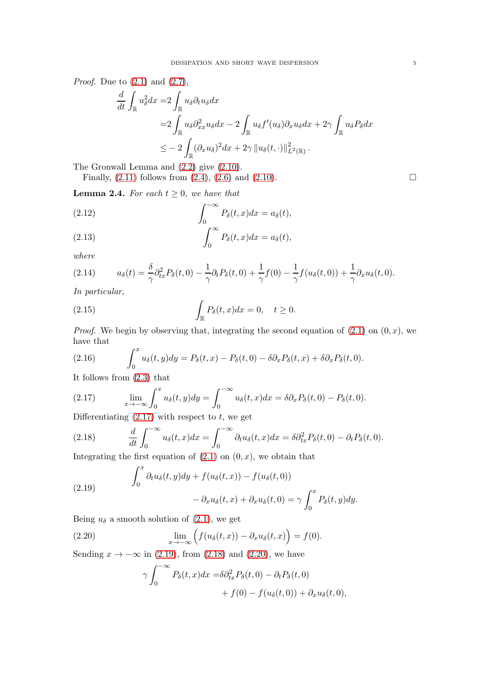*Proof.* Due to  $(2.1)$  and  $(2.7)$ ,

$$
\frac{d}{dt} \int_{\mathbb{R}} u_{\delta}^{2} dx = 2 \int_{\mathbb{R}} u_{\delta} \partial_{t} u_{\delta} dx
$$
\n
$$
= 2 \int_{\mathbb{R}} u_{\delta} \partial_{xx}^{2} u_{\delta} dx - 2 \int_{\mathbb{R}} u_{\delta} f'(u_{\delta}) \partial_{x} u_{\delta} dx + 2\gamma \int_{\mathbb{R}} u_{\delta} P_{\delta} dx
$$
\n
$$
\leq -2 \int_{\mathbb{R}} (\partial_{x} u_{\delta})^{2} dx + 2\gamma ||u_{\delta}(t, \cdot)||_{L^{2}(\mathbb{R})}^{2}.
$$

The Gronwall Lemma and [\(2.2\)](#page-2-5) give [\(2.10\)](#page-3-4).

Finally,  $(2.11)$  follows from  $(2.4)$ ,  $(2.6)$  and  $(2.10)$ .

<span id="page-4-8"></span>**Lemma 2.4.** For each  $t > 0$ , we have that

<span id="page-4-4"></span>(2.12) 
$$
\int_0^{-\infty} P_\delta(t, x) dx = a_\delta(t),
$$

<span id="page-4-5"></span>(2.13) 
$$
\int_0^\infty P_\delta(t,x)dx = a_\delta(t),
$$

where

(2.14) 
$$
a_{\delta}(t) = \frac{\delta}{\gamma} \partial_{tx}^2 P_{\delta}(t,0) - \frac{1}{\gamma} \partial_t P_{\delta}(t,0) + \frac{1}{\gamma} f(0) - \frac{1}{\gamma} f(u_{\delta}(t,0)) + \frac{1}{\gamma} \partial_x u_{\delta}(t,0).
$$

In particular,

<span id="page-4-7"></span>(2.15) 
$$
\int_{\mathbb{R}} P_{\delta}(t,x)dx = 0, \quad t \geq 0.
$$

*Proof.* We begin by observing that, integrating the second equation of  $(2.1)$  on  $(0, x)$ , we have that

<span id="page-4-6"></span>(2.16) 
$$
\int_0^x u_\delta(t,y) dy = P_\delta(t,x) - P_\delta(t,0) - \delta \partial_x P_\delta(t,x) + \delta \partial_x P_\delta(t,0).
$$

It follows from [\(2.3\)](#page-2-1) that

<span id="page-4-0"></span>(2.17) 
$$
\lim_{x \to -\infty} \int_0^x u_\delta(t, y) dy = \int_0^{-\infty} u_\delta(t, x) dx = \delta \partial_x P_\delta(t, 0) - P_\delta(t, 0).
$$

Differentiating  $(2.17)$  with respect to t, we get

<span id="page-4-2"></span>(2.18) 
$$
\frac{d}{dt} \int_0^{-\infty} u_\delta(t, x) dx = \int_0^{-\infty} \partial_t u_\delta(t, x) dx = \delta \partial_{tx}^2 P_\delta(t, 0) - \partial_t P_\delta(t, 0).
$$

Integrating the first equation of  $(2.1)$  on  $(0, x)$ , we obtain that

<span id="page-4-1"></span>(2.19) 
$$
\int_0^x \partial_t u_\delta(t, y) dy + f(u_\delta(t, x)) - f(u_\delta(t, 0)) - \partial_x u_\delta(t, x) + \partial_x u_\delta(t, 0) = \gamma \int_0^x P_\delta(t, y) dy.
$$

Being  $u_{\delta}$  a smooth solution of [\(2.1\)](#page-2-2), we get

(2.20) 
$$
\lim_{x \to -\infty} \left( f(u_{\delta}(t,x)) - \partial_x u_{\delta}(t,x) \right) = f(0).
$$

Sending  $x \to -\infty$  in [\(2.19\)](#page-4-1), from [\(2.18\)](#page-4-2) and [\(2.20\)](#page-4-3), we have

<span id="page-4-3"></span>
$$
\gamma \int_0^{-\infty} P_\delta(t, x) dx = \delta \partial_{tx}^2 P_\delta(t, 0) - \partial_t P_\delta(t, 0)
$$
  
+  $f(0) - f(u_\delta(t, 0)) + \partial_x u_\delta(t, 0),$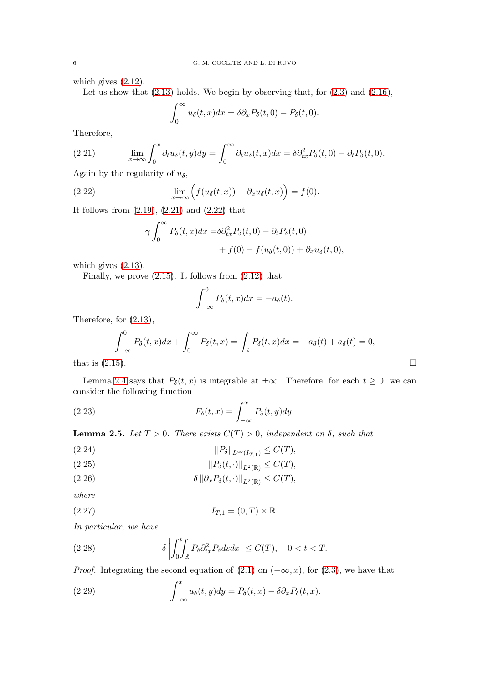which gives [\(2.12\)](#page-4-4).

Let us show that  $(2.13)$  holds. We begin by observing that, for  $(2.3)$  and  $(2.16)$ ,

$$
\int_0^\infty u_\delta(t,x)dx = \delta \partial_x P_\delta(t,0) - P_\delta(t,0).
$$

Therefore,

<span id="page-5-0"></span>(2.21) 
$$
\lim_{x \to \infty} \int_0^x \partial_t u_\delta(t, y) dy = \int_0^\infty \partial_t u_\delta(t, x) dx = \delta \partial_{tx}^2 P_\delta(t, 0) - \partial_t P_\delta(t, 0).
$$

Again by the regularity of  $u_{\delta}$ ,

(2.22) 
$$
\lim_{x \to \infty} \left( f(u_{\delta}(t,x)) - \partial_x u_{\delta}(t,x) \right) = f(0).
$$

It follows from [\(2.19\)](#page-4-1), [\(2.21\)](#page-5-0) and [\(2.22\)](#page-5-1) that

<span id="page-5-1"></span>
$$
\gamma \int_0^\infty P_\delta(t, x) dx = \delta \partial_{tx}^2 P_\delta(t, 0) - \partial_t P_\delta(t, 0)
$$

$$
+ f(0) - f(u_\delta(t, 0)) + \partial_x u_\delta(t, 0),
$$

which gives [\(2.13\)](#page-4-5).

Finally, we prove  $(2.15)$ . It follows from  $(2.12)$  that

<span id="page-5-3"></span>
$$
\int_{-\infty}^{0} P_{\delta}(t, x) dx = -a_{\delta}(t).
$$

Therefore, for [\(2.13\)](#page-4-5),

$$
\int_{-\infty}^{0} P_{\delta}(t, x) dx + \int_{0}^{\infty} P_{\delta}(t, x) dx = -a_{\delta}(t) + a_{\delta}(t) = 0,
$$
  
that is (2.15).

Lemma [2.4](#page-4-8) says that  $P_\delta(t, x)$  is integrable at  $\pm \infty$ . Therefore, for each  $t \geq 0$ , we can consider the following function

(2.23) 
$$
F_{\delta}(t,x) = \int_{-\infty}^{x} P_{\delta}(t,y) dy.
$$

<span id="page-5-9"></span>**Lemma 2.5.** Let  $T > 0$ . There exists  $C(T) > 0$ , independent on  $\delta$ , such that

<span id="page-5-5"></span>(2.24) 
$$
||P_{\delta}||_{L^{\infty}(I_{T,1})} \leq C(T),
$$

<span id="page-5-6"></span>
$$
(2.25) \t\t\t\t\t ||P_{\delta}(t,\cdot)||_{L^2(\mathbb{R})} \leq C(T),
$$

<span id="page-5-7"></span>(2.26) 
$$
\delta \|\partial_x P_{\delta}(t,\cdot)\|_{L^2(\mathbb{R})} \leq C(T),
$$

where

<span id="page-5-4"></span>
$$
(2.27) \t\t I_{T,1} = (0,T) \times \mathbb{R}.
$$

In particular, we have

<span id="page-5-8"></span>(2.28) 
$$
\delta \left| \int_0^t \int_{\mathbb{R}} P_\delta \partial_{tx}^2 P_\delta ds dx \right| \leq C(T), \quad 0 < t < T.
$$

*Proof.* Integrating the second equation of  $(2.1)$  on  $(-\infty, x)$ , for  $(2.3)$ , we have that

<span id="page-5-2"></span>(2.29) 
$$
\int_{-\infty}^{x} u_{\delta}(t, y) dy = P_{\delta}(t, x) - \delta \partial_{x} P_{\delta}(t, x).
$$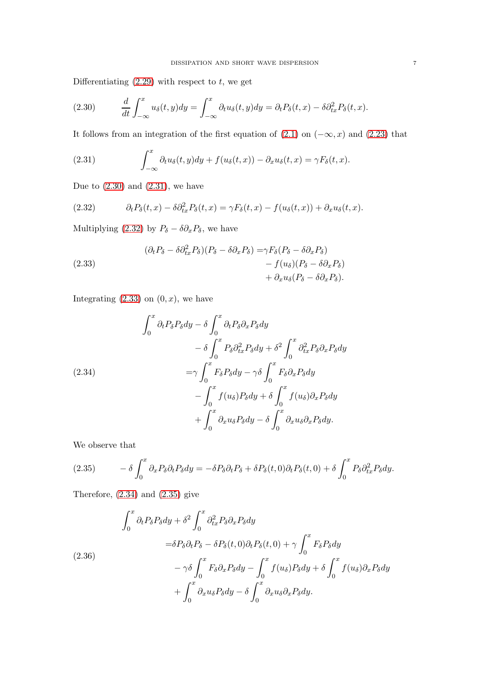Differentiating  $(2.29)$  with respect to t, we get

<span id="page-6-0"></span>(2.30) 
$$
\frac{d}{dt} \int_{-\infty}^{x} u_{\delta}(t, y) dy = \int_{-\infty}^{x} \partial_t u_{\delta}(t, y) dy = \partial_t P_{\delta}(t, x) - \delta \partial_{tx}^2 P_{\delta}(t, x).
$$

It follows from an integration of the first equation of  $(2.1)$  on  $(-\infty, x)$  and  $(2.23)$  that

<span id="page-6-1"></span>(2.31) 
$$
\int_{-\infty}^{x} \partial_t u_\delta(t, y) dy + f(u_\delta(t, x)) - \partial_x u_\delta(t, x) = \gamma F_\delta(t, x).
$$

Due to  $(2.30)$  and  $(2.31)$ , we have

<span id="page-6-2"></span>(2.32) 
$$
\partial_t P_\delta(t,x) - \delta \partial_{tx}^2 P_\delta(t,x) = \gamma F_\delta(t,x) - f(u_\delta(t,x)) + \partial_x u_\delta(t,x).
$$

Multiplying [\(2.32\)](#page-6-2) by  $P_{\delta} - \delta \partial_x P_{\delta}$ , we have

<span id="page-6-3"></span>(2.33)  
\n
$$
(\partial_t P_\delta - \delta \partial_{tx}^2 P_\delta)(P_\delta - \delta \partial_x P_\delta) = \gamma F_\delta (P_\delta - \delta \partial_x P_\delta) - f(u_\delta)(P_\delta - \delta \partial_x P_\delta) + \partial_x u_\delta (P_\delta - \delta \partial_x P_\delta).
$$

Integrating  $(2.33)$  on  $(0, x)$ , we have

<span id="page-6-4"></span>
$$
\int_0^x \partial_t P_\delta P_\delta dy - \delta \int_0^x \partial_t P_\delta \partial_x P_\delta dy \n- \delta \int_0^x P_\delta \partial_{tx}^2 P_\delta dy + \delta^2 \int_0^x \partial_{tx}^2 P_\delta \partial_x P_\delta dy \n= \gamma \int_0^x F_\delta P_\delta dy - \gamma \delta \int_0^x F_\delta \partial_x P_\delta dy \n- \int_0^x f(u_\delta) P_\delta dy + \delta \int_0^x f(u_\delta) \partial_x P_\delta dy \n+ \int_0^x \partial_x u_\delta P_\delta dy - \delta \int_0^x \partial_x u_\delta \partial_x P_\delta dy.
$$

We observe that

<span id="page-6-5"></span>(2.35) 
$$
- \delta \int_0^x \partial_x P_\delta \partial_t P_\delta dy = - \delta P_\delta \partial_t P_\delta + \delta P_\delta(t,0) \partial_t P_\delta(t,0) + \delta \int_0^x P_\delta \partial_{tx}^2 P_\delta dy.
$$

Therefore,  $(2.34)$  and  $(2.35)$  give

$$
\int_0^x \partial_t P_\delta P_\delta dy + \delta^2 \int_0^x \partial_{tx}^2 P_\delta \partial_x P_\delta dy
$$
  
=  $\delta P_\delta \partial_t P_\delta - \delta P_\delta(t, 0) \partial_t P_\delta(t, 0) + \gamma \int_0^x F_\delta P_\delta dy$   

$$
- \gamma \delta \int_0^x F_\delta \partial_x P_\delta dy - \int_0^x f(u_\delta) P_\delta dy + \delta \int_0^x f(u_\delta) \partial_x P_\delta dy
$$
  
+ 
$$
\int_0^x \partial_x u_\delta P_\delta dy - \delta \int_0^x \partial_x u_\delta \partial_x P_\delta dy.
$$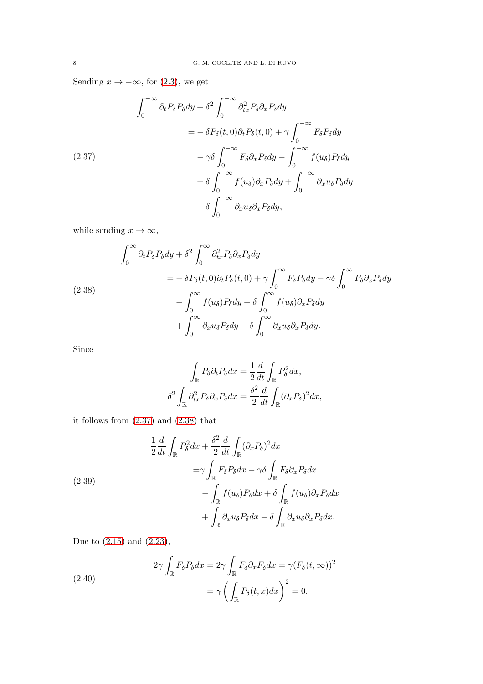Sending  $x \to -\infty$ , for [\(2.3\)](#page-2-1), we get

<span id="page-7-0"></span>
$$
\int_0^{-\infty} \partial_t P_{\delta} P_{\delta} dy + \delta^2 \int_0^{-\infty} \partial_{tx}^2 P_{\delta} \partial_x P_{\delta} dy
$$
  

$$
= -\delta P_{\delta}(t,0) \partial_t P_{\delta}(t,0) + \gamma \int_0^{-\infty} F_{\delta} P_{\delta} dy
$$
  

$$
- \gamma \delta \int_0^{-\infty} F_{\delta} \partial_x P_{\delta} dy - \int_0^{-\infty} f(u_{\delta}) P_{\delta} dy
$$
  

$$
+ \delta \int_0^{-\infty} f(u_{\delta}) \partial_x P_{\delta} dy + \int_0^{-\infty} \partial_x u_{\delta} P_{\delta} dy
$$
  

$$
- \delta \int_0^{-\infty} \partial_x u_{\delta} \partial_x P_{\delta} dy,
$$

while sending  $x\to\infty,$ 

<span id="page-7-1"></span>
$$
\int_0^\infty \partial_t P_\delta P_\delta dy + \delta^2 \int_0^\infty \partial_{tx}^2 P_\delta \partial_x P_\delta dy
$$
  
=  $-\delta P_\delta(t, 0) \partial_t P_\delta(t, 0) + \gamma \int_0^\infty F_\delta P_\delta dy - \gamma \delta \int_0^\infty F_\delta \partial_x P_\delta dy$   
 $- \int_0^\infty f(u_\delta) P_\delta dy + \delta \int_0^\infty f(u_\delta) \partial_x P_\delta dy$   
 $+ \int_0^\infty \partial_x u_\delta P_\delta dy - \delta \int_0^\infty \partial_x u_\delta \partial_x P_\delta dy.$ 

Since

$$
\int_{\mathbb{R}} P_{\delta} \partial_{t} P_{\delta} dx = \frac{1}{2} \frac{d}{dt} \int_{\mathbb{R}} P_{\delta}^{2} dx,
$$

$$
\delta^{2} \int_{\mathbb{R}} \partial_{tx}^{2} P_{\delta} \partial_{x} P_{\delta} dx = \frac{\delta^{2}}{2} \frac{d}{dt} \int_{\mathbb{R}} (\partial_{x} P_{\delta})^{2} dx,
$$

it follows from [\(2.37\)](#page-7-0) and [\(2.38\)](#page-7-1) that

<span id="page-7-2"></span>
$$
\frac{1}{2}\frac{d}{dt}\int_{\mathbb{R}}P_{\delta}^{2}dx + \frac{\delta^{2}}{2}\frac{d}{dt}\int_{\mathbb{R}}(\partial_{x}P_{\delta})^{2}dx
$$
\n
$$
=\gamma\int_{\mathbb{R}}F_{\delta}P_{\delta}dx - \gamma\delta\int_{\mathbb{R}}F_{\delta}\partial_{x}P_{\delta}dx
$$
\n
$$
-\int_{\mathbb{R}}f(u_{\delta})P_{\delta}dx + \delta\int_{\mathbb{R}}f(u_{\delta})\partial_{x}P_{\delta}dx
$$
\n
$$
+\int_{\mathbb{R}}\partial_{x}u_{\delta}P_{\delta}dx - \delta\int_{\mathbb{R}}\partial_{x}u_{\delta}\partial_{x}P_{\delta}dx.
$$

Due to [\(2.15\)](#page-4-7) and [\(2.23\)](#page-5-3),

<span id="page-7-3"></span>(2.40)  
\n
$$
2\gamma \int_{\mathbb{R}} F_{\delta} P_{\delta} dx = 2\gamma \int_{\mathbb{R}} F_{\delta} \partial_x F_{\delta} dx = \gamma (F_{\delta}(t, \infty))^2
$$
\n
$$
= \gamma \left( \int_{\mathbb{R}} P_{\delta}(t, x) dx \right)^2 = 0.
$$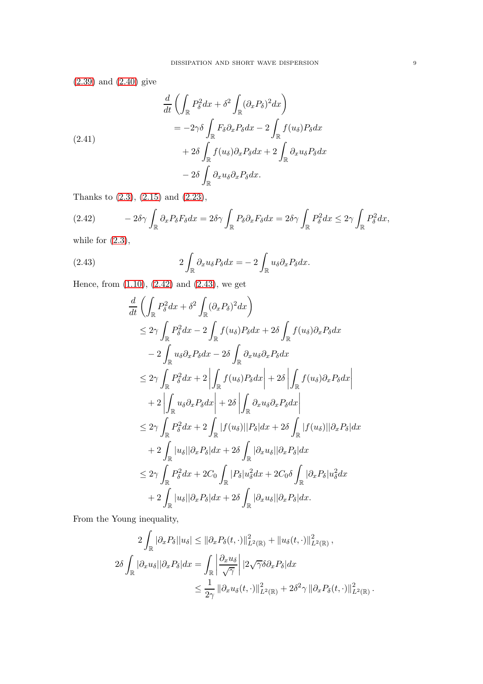[\(2.39\)](#page-7-2) and [\(2.40\)](#page-7-3) give

$$
\frac{d}{dt} \left( \int_{\mathbb{R}} P_{\delta}^{2} dx + \delta^{2} \int_{\mathbb{R}} (\partial_{x} P_{\delta})^{2} dx \right)
$$
\n
$$
= -2\gamma \delta \int_{\mathbb{R}} F_{\delta} \partial_{x} P_{\delta} dx - 2 \int_{\mathbb{R}} f(u_{\delta}) P_{\delta} dx
$$
\n
$$
+ 2\delta \int_{\mathbb{R}} f(u_{\delta}) \partial_{x} P_{\delta} dx + 2 \int_{\mathbb{R}} \partial_{x} u_{\delta} P_{\delta} dx
$$
\n
$$
- 2\delta \int_{\mathbb{R}} \partial_{x} u_{\delta} \partial_{x} P_{\delta} dx.
$$

Thanks to [\(2.3\)](#page-2-1), [\(2.15\)](#page-4-7) and [\(2.23\)](#page-5-3),

<span id="page-8-0"></span>
$$
(2.42) \t-2\delta\gamma \int_{\mathbb{R}} \partial_x P_\delta F_\delta dx = 2\delta\gamma \int_{\mathbb{R}} P_\delta \partial_x F_\delta dx = 2\delta\gamma \int_{\mathbb{R}} P_\delta^2 dx \le 2\gamma \int_{\mathbb{R}} P_\delta^2 dx,
$$

while for  $(2.3)$ ,

<span id="page-8-1"></span>(2.43) 
$$
2\int_{\mathbb{R}} \partial_x u_{\delta} P_{\delta} dx = -2 \int_{\mathbb{R}} u_{\delta} \partial_x P_{\delta} dx.
$$

Hence, from [\(1.10\)](#page-1-4), [\(2.42\)](#page-8-0) and [\(2.43\)](#page-8-1), we get

$$
\frac{d}{dt} \left( \int_{\mathbb{R}} P_{\delta}^{2} dx + \delta^{2} \int_{\mathbb{R}} (\partial_{x} P_{\delta})^{2} dx \right)
$$
\n
$$
\leq 2\gamma \int_{\mathbb{R}} P_{\delta}^{2} dx - 2 \int_{\mathbb{R}} f(u_{\delta}) P_{\delta} dx + 2\delta \int_{\mathbb{R}} f(u_{\delta}) \partial_{x} P_{\delta} dx
$$
\n
$$
- 2 \int_{\mathbb{R}} u_{\delta} \partial_{x} P_{\delta} dx - 2\delta \int_{\mathbb{R}} \partial_{x} u_{\delta} \partial_{x} P_{\delta} dx
$$
\n
$$
\leq 2\gamma \int_{\mathbb{R}} P_{\delta}^{2} dx + 2 \left| \int_{\mathbb{R}} f(u_{\delta}) P_{\delta} dx \right| + 2\delta \left| \int_{\mathbb{R}} f(u_{\delta}) \partial_{x} P_{\delta} dx \right|
$$
\n
$$
+ 2 \left| \int_{\mathbb{R}} u_{\delta} \partial_{x} P_{\delta} dx \right| + 2\delta \left| \int_{\mathbb{R}} \partial_{x} u_{\delta} \partial_{x} P_{\delta} dx \right|
$$
\n
$$
\leq 2\gamma \int_{\mathbb{R}} P_{\delta}^{2} dx + 2 \int_{\mathbb{R}} |f(u_{\delta})| |P_{\delta}| dx + 2\delta \int_{\mathbb{R}} |f(u_{\delta})| |\partial_{x} P_{\delta}| dx
$$
\n
$$
+ 2 \int_{\mathbb{R}} |u_{\delta}| |\partial_{x} P_{\delta}| dx + 2\delta \int_{\mathbb{R}} |\partial_{x} u_{\delta}| |\partial_{x} P_{\delta}| dx
$$
\n
$$
\leq 2\gamma \int_{\mathbb{R}} P_{\delta}^{2} dx + 2C_{0} \int_{\mathbb{R}} |P_{\delta}| u_{\delta}^{2} dx + 2C_{0} \delta \int_{\mathbb{R}} |\partial_{x} P_{\delta}| u_{\delta}^{2} dx
$$
\n
$$
+ 2 \int_{\mathbb{R}} |u_{\delta}| |\partial_{x} P_{\delta}| dx + 2\delta \int_{\mathbb{R}} |\partial_{x} u_{\delta}| |\partial_{x} P_{\delta}| dx.
$$

From the Young inequality,

$$
2\int_{\mathbb{R}}|\partial_{x}P_{\delta}||u_{\delta}| \leq ||\partial_{x}P_{\delta}(t,\cdot)||_{L^{2}(\mathbb{R})}^{2} + ||u_{\delta}(t,\cdot)||_{L^{2}(\mathbb{R})}^{2},
$$
  

$$
2\delta \int_{\mathbb{R}}|\partial_{x}u_{\delta}||\partial_{x}P_{\delta}|dx = \int_{\mathbb{R}}\left|\frac{\partial_{x}u_{\delta}}{\sqrt{\gamma}}\right||2\sqrt{\gamma}\delta\partial_{x}P_{\delta}|dx
$$
  

$$
\leq \frac{1}{2\gamma}\|\partial_{x}u_{\delta}(t,\cdot)||_{L^{2}(\mathbb{R})}^{2} + 2\delta^{2}\gamma\|\partial_{x}P_{\delta}(t,\cdot)||_{L^{2}(\mathbb{R})}^{2}.
$$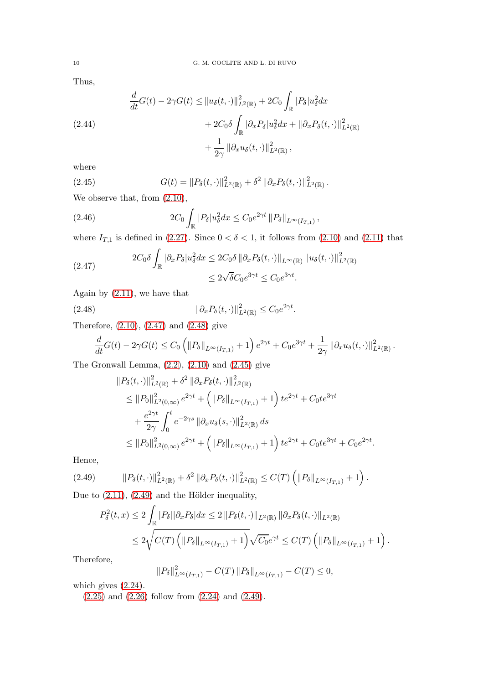Thus,

$$
\frac{d}{dt}G(t) - 2\gamma G(t) \leq ||u_{\delta}(t, \cdot)||_{L^{2}(\mathbb{R})}^{2} + 2C_{0} \int_{\mathbb{R}} |P_{\delta}|u_{\delta}^{2}dx
$$
\n
$$
+ 2C_{0}\delta \int_{\mathbb{R}} |\partial_{x}P_{\delta}|u_{\delta}^{2}dx + ||\partial_{x}P_{\delta}(t, \cdot)||_{L^{2}(\mathbb{R})}^{2}
$$
\n
$$
+ \frac{1}{2\gamma} ||\partial_{x}u_{\delta}(t, \cdot)||_{L^{2}(\mathbb{R})}^{2},
$$

where

<span id="page-9-2"></span>(2.45) 
$$
G(t) = ||P_{\delta}(t, \cdot)||_{L^2(\mathbb{R})}^2 + \delta^2 ||\partial_x P_{\delta}(t, \cdot)||_{L^2(\mathbb{R})}^2.
$$

We observe that, from  $(2.10)$ ,

(2.46) 
$$
2C_0 \int_{\mathbb{R}} |P_{\delta}| u_{\delta}^2 dx \leq C_0 e^{2\gamma t} ||P_{\delta}||_{L^{\infty}(I_{T,1})},
$$

where  $I_{T,1}$  is defined in [\(2.27\)](#page-5-4). Since  $0 < \delta < 1$ , it follows from [\(2.10\)](#page-3-4) and [\(2.11\)](#page-3-5) that

<span id="page-9-0"></span>(2.47) 
$$
2C_0\delta \int_{\mathbb{R}} |\partial_x P_{\delta}| u_{\delta}^2 dx \le 2C_0\delta \left\| \partial_x P_{\delta}(t,\cdot) \right\|_{L^{\infty}(\mathbb{R})} \left\| u_{\delta}(t,\cdot) \right\|_{L^2(\mathbb{R})}^2
$$

$$
\le 2\sqrt{\delta}C_0e^{3\gamma t} \le C_0e^{3\gamma t}.
$$

Again by [\(2.11\)](#page-3-5), we have that

$$
||\partial_x P_\delta(t,\cdot)||_{L^2(\mathbb{R})}^2 \leq C_0 e^{2\gamma t}.
$$

Therefore, [\(2.10\)](#page-3-4), [\(2.47\)](#page-9-0) and [\(2.48\)](#page-9-1) give

<span id="page-9-1"></span>
$$
\frac{d}{dt}G(t) - 2\gamma G(t) \leq C_0 \left( ||P_\delta||_{L^\infty(I_{T,1})} + 1 \right) e^{2\gamma t} + C_0 e^{3\gamma t} + \frac{1}{2\gamma} ||\partial_x u_\delta(t,\cdot)||_{L^2(\mathbb{R})}^2.
$$

The Gronwall Lemma,  $(2.2)$ ,  $(2.10)$  and  $(2.45)$  give

$$
\|P_{\delta}(t,\cdot)\|_{L^{2}(\mathbb{R})}^{2} + \delta^{2} \|\partial_{x}P_{\delta}(t,\cdot)\|_{L^{2}(\mathbb{R})}^{2}
$$
\n
$$
\leq \|P_{0}\|_{L^{2}(0,\infty)}^{2} e^{2\gamma t} + \left(\|P_{\delta}\|_{L^{\infty}(I_{T,1})} + 1\right) t e^{2\gamma t} + C_{0} t e^{3\gamma t}
$$
\n
$$
+ \frac{e^{2\gamma t}}{2\gamma} \int_{0}^{t} e^{-2\gamma s} \|\partial_{x}u_{\delta}(s,\cdot)\|_{L^{2}(\mathbb{R})}^{2} ds
$$
\n
$$
\leq \|P_{0}\|_{L^{2}(0,\infty)}^{2} e^{2\gamma t} + \left(\|P_{\delta}\|_{L^{\infty}(I_{T,1})} + 1\right) t e^{2\gamma t} + C_{0} t e^{3\gamma t} + C_{0} e^{2\gamma t}
$$

.

Hence,

$$
(2.49) \t||P_{\delta}(t,\cdot)||_{L^{2}(\mathbb{R})}^{2} + \delta^{2} ||\partial_{x} P_{\delta}(t,\cdot)||_{L^{2}(\mathbb{R})}^{2} \leq C(T) \left( ||P_{\delta}||_{L^{\infty}(I_{T,1})} + 1 \right).
$$

Due to  $(2.11)$ ,  $(2.49)$  and the Hölder inequality,

<span id="page-9-3"></span>
$$
P_{\delta}^{2}(t,x) \leq 2 \int_{\mathbb{R}} |P_{\delta}||\partial_{x}P_{\delta}|dx \leq 2 \|P_{\delta}(t,\cdot)\|_{L^{2}(\mathbb{R})} \|\partial_{x}P_{\delta}(t,\cdot)\|_{L^{2}(\mathbb{R})}
$$
  

$$
\leq 2 \sqrt{C(T) \left( \|P_{\delta}\|_{L^{\infty}(I_{T,1})} + 1 \right)} \sqrt{C_{0}} e^{\gamma t} \leq C(T) \left( \|P_{\delta}\|_{L^{\infty}(I_{T,1})} + 1 \right).
$$

Therefore,

$$
||P_{\delta}||_{L^{\infty}(I_{T,1})}^{2} - C(T) ||P_{\delta}||_{L^{\infty}(I_{T,1})} - C(T) \leq 0,
$$

which gives [\(2.24\)](#page-5-5).

[\(2.25\)](#page-5-6) and [\(2.26\)](#page-5-7) follow from [\(2.24\)](#page-5-5) and [\(2.49\)](#page-9-3).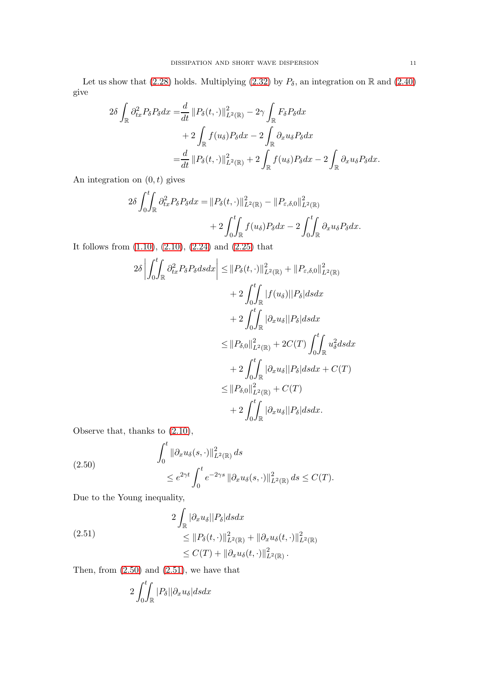Let us show that [\(2.28\)](#page-5-8) holds. Multiplying [\(2.32\)](#page-6-2) by  $P_\delta$ , an integration on R and [\(2.40\)](#page-7-3) give

$$
2\delta \int_{\mathbb{R}} \partial_{tx}^{2} P_{\delta} P_{\delta} dx = \frac{d}{dt} \| P_{\delta}(t, \cdot) \|_{L^{2}(\mathbb{R})}^{2} - 2\gamma \int_{\mathbb{R}} F_{\delta} P_{\delta} dx + 2 \int_{\mathbb{R}} f(u_{\delta}) P_{\delta} dx - 2 \int_{\mathbb{R}} \partial_{x} u_{\delta} P_{\delta} dx = \frac{d}{dt} \| P_{\delta}(t, \cdot) \|_{L^{2}(\mathbb{R})}^{2} + 2 \int_{\mathbb{R}} f(u_{\delta}) P_{\delta} dx - 2 \int_{\mathbb{R}} \partial_{x} u_{\delta} P_{\delta} dx.
$$

An integration on  $(0, t)$  gives

$$
2\delta \int_0^t \int_{\mathbb{R}} \partial_{tx}^2 P_\delta P_\delta dx = ||P_\delta(t, \cdot)||_{L^2(\mathbb{R})}^2 - ||P_{\varepsilon, \delta, 0}||_{L^2(\mathbb{R})}^2 + 2 \int_0^t \int_{\mathbb{R}} f(u_\delta) P_\delta dx - 2 \int_0^t \int_{\mathbb{R}} \partial_x u_\delta P_\delta dx.
$$

It follows from [\(1.10\)](#page-1-4), [\(2.10\)](#page-3-4), [\(2.24\)](#page-5-5) and [\(2.25\)](#page-5-6) that

$$
2\delta \left| \int_0^t \int_{\mathbb{R}} \partial_{tx}^2 P_\delta \, ds \, dx \right| \leq ||P_\delta(t, \cdot)||^2_{L^2(\mathbb{R})} + ||P_{\varepsilon, \delta, 0}||^2_{L^2(\mathbb{R})} + 2 \int_0^t \int_{\mathbb{R}} |f(u_\delta)||P_\delta| \, ds \, dx + 2 \int_0^t \int_{\mathbb{R}} |\partial_x u_\delta||P_\delta| \, ds \, dx \leq ||P_{\delta, 0}||^2_{L^2(\mathbb{R})} + 2C(T) \int_0^t \int_{\mathbb{R}} u_\delta^2 \, ds \, dx + 2 \int_0^t \int_{\mathbb{R}} |\partial_x u_\delta||P_\delta| \, ds \, dx + C(T) \leq ||P_{\delta, 0}||^2_{L^2(\mathbb{R})} + C(T) + 2 \int_0^t \int_{\mathbb{R}} |\partial_x u_\delta||P_\delta| \, ds \, dx.
$$

Observe that, thanks to  $(2.10)$ ,

<span id="page-10-0"></span>(2.50)  

$$
\int_0^t \|\partial_x u_\delta(s,\cdot)\|_{L^2(\mathbb{R})}^2 ds
$$

$$
\leq e^{2\gamma t} \int_0^t e^{-2\gamma s} \|\partial_x u_\delta(s,\cdot)\|_{L^2(\mathbb{R})}^2 ds \leq C(T).
$$

Due to the Young inequality,

<span id="page-10-1"></span>(2.51)  
\n
$$
2 \int_{\mathbb{R}} |\partial_x u_{\delta}| |P_{\delta}| ds dx
$$
\n
$$
\leq ||P_{\delta}(t, \cdot)||_{L^2(\mathbb{R})}^2 + ||\partial_x u_{\delta}(t, \cdot)||_{L^2(\mathbb{R})}^2
$$
\n
$$
\leq C(T) + ||\partial_x u_{\delta}(t, \cdot)||_{L^2(\mathbb{R})}^2.
$$

Then, from  $(2.50)$  and  $(2.51)$ , we have that

$$
2\int_0^t \int_{\mathbb{R}} |P_\delta| |\partial_x u_\delta| ds dx
$$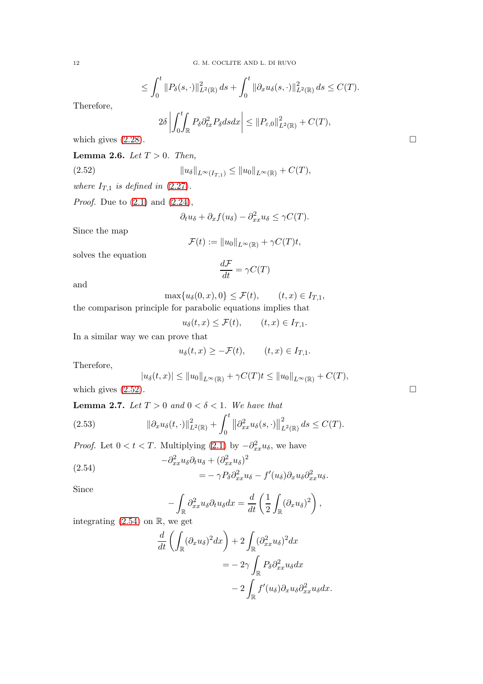$$
\leq \int_0^t \|P_\delta(s,\cdot)\|_{L^2(\mathbb{R})}^2 ds + \int_0^t \|\partial_x u_\delta(s,\cdot)\|_{L^2(\mathbb{R})}^2 ds \leq C(T).
$$

Therefore,

$$
2\delta \left| \int_0^t \int_{\mathbb{R}} P_\delta \partial_{tx}^2 P_\delta ds dx \right| \leq \| P_{\varepsilon,0} \|_{L^2(\mathbb{R})}^2 + C(T),
$$
\nwhich gives (2.28).

<span id="page-11-3"></span>Lemma 2.6. Let  $T > 0$ . Then,

(2.52) 
$$
||u_{\delta}||_{L^{\infty}(I_{T,1})} \leq ||u_{0}||_{L^{\infty}(\mathbb{R})} + C(T),
$$

where  $I_{T,1}$  is defined in [\(2.27\)](#page-5-4).

*Proof.* Due to  $(2.1)$  and  $(2.24)$ ,

<span id="page-11-0"></span>
$$
\partial_t u_\delta + \partial_x f(u_\delta) - \partial_{xx}^2 u_\delta \le \gamma C(T).
$$

Since the map

$$
\mathcal{F}(t) := \|u_0\|_{L^{\infty}(\mathbb{R})} + \gamma C(T)t,
$$

solves the equation

$$
\frac{d\mathcal{F}}{dt} = \gamma C(T)
$$

and

$$
\max\{u_{\delta}(0,x),0\} \leq \mathcal{F}(t), \qquad (t,x) \in I_{T,1},
$$

the comparison principle for parabolic equations implies that

 $u_{\delta}(t, x) \leq \mathcal{F}(t), \qquad (t, x) \in I_{T,1}.$ 

In a similar way we can prove that

$$
u_{\delta}(t,x) \geq -\mathcal{F}(t), \qquad (t,x) \in I_{T,1}.
$$

Therefore,

$$
|u_{\delta}(t,x)| \le ||u_0||_{L^{\infty}(\mathbb{R})} + \gamma C(T)t \le ||u_0||_{L^{\infty}(\mathbb{R})} + C(T),
$$
  
which gives (2.52).

<span id="page-11-4"></span>**Lemma 2.7.** Let  $T > 0$  and  $0 < \delta < 1$ . We have that

<span id="page-11-2"></span>(2.53) 
$$
\|\partial_x u_\delta(t,\cdot)\|_{L^2(\mathbb{R})}^2 + \int_0^t \|\partial_{xx}^2 u_\delta(s,\cdot)\|_{L^2(\mathbb{R})}^2 ds \leq C(T).
$$

*Proof.* Let  $0 < t < T$ . Multiplying [\(2.1\)](#page-2-2) by  $-\partial_{xx}^2 u_{\delta}$ , we have

<span id="page-11-1"></span>(2.54)  
\n
$$
-\partial_{xx}^2 u_{\delta} \partial_t u_{\delta} + (\partial_{xx}^2 u_{\delta})^2 = -\gamma P_{\delta} \partial_{xx}^2 u_{\delta} - f'(u_{\delta}) \partial_x u_{\delta} \partial_{xx}^2 u_{\delta}.
$$

Since

$$
-\int_{\mathbb{R}} \partial_{xx}^2 u_{\delta} \partial_t u_{\delta} dx = \frac{d}{dt} \left( \frac{1}{2} \int_{\mathbb{R}} (\partial_x u_{\delta})^2 \right),
$$

integrating  $(2.54)$  on  $\mathbb{R}$ , we get

$$
\frac{d}{dt} \left( \int_{\mathbb{R}} (\partial_x u_\delta)^2 dx \right) + 2 \int_{\mathbb{R}} (\partial_{xx}^2 u_\delta)^2 dx
$$

$$
= -2\gamma \int_{\mathbb{R}} P_\delta \partial_{xx}^2 u_\delta dx
$$

$$
- 2 \int_{\mathbb{R}} f'(u_\delta) \partial_x u_\delta \partial_{xx}^2 u_\delta dx.
$$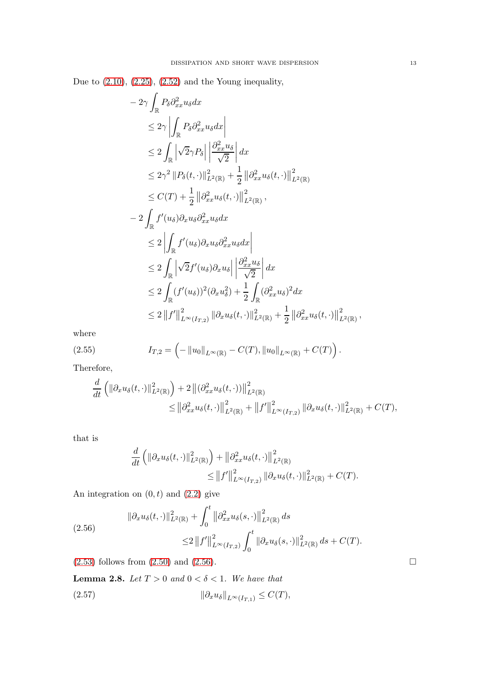Due to  $(2.10)$ ,  $(2.25)$ ,  $(2.52)$  and the Young inequality,

$$
-2\gamma \int_{\mathbb{R}} P_{\delta} \partial_{xx}^{2} u_{\delta} dx
$$
  
\n
$$
\leq 2\gamma \left| \int_{\mathbb{R}} P_{\delta} \partial_{xx}^{2} u_{\delta} dx \right|
$$
  
\n
$$
\leq 2 \int_{\mathbb{R}} \left| \sqrt{2} \gamma P_{\delta} \right| \left| \frac{\partial_{xx}^{2} u_{\delta}}{\sqrt{2}} \right| dx
$$
  
\n
$$
\leq 2\gamma^{2} \| P_{\delta}(t, \cdot) \|_{L^{2}(\mathbb{R})}^{2} + \frac{1}{2} \| \partial_{xx}^{2} u_{\delta}(t, \cdot) \|_{L^{2}(\mathbb{R})}^{2}
$$
  
\n
$$
\leq C(T) + \frac{1}{2} \| \partial_{xx}^{2} u_{\delta}(t, \cdot) \|_{L^{2}(\mathbb{R})}^{2},
$$
  
\n
$$
-2 \int_{\mathbb{R}} f'(u_{\delta}) \partial_{x} u_{\delta} \partial_{xx}^{2} u_{\delta} dx
$$
  
\n
$$
\leq 2 \left| \int_{\mathbb{R}} f'(u_{\delta}) \partial_{x} u_{\delta} \partial_{xx}^{2} u_{\delta} dx \right|
$$
  
\n
$$
\leq 2 \int_{\mathbb{R}} \left| \sqrt{2} f'(u_{\delta}) \partial_{x} u_{\delta} \right| \left| \frac{\partial_{xx}^{2} u_{\delta}}{\sqrt{2}} \right| dx
$$
  
\n
$$
\leq 2 \int_{\mathbb{R}} (f'(u_{\delta}))^{2} (\partial_{x} u_{\delta}^{2}) + \frac{1}{2} \int_{\mathbb{R}} (\partial_{xx}^{2} u_{\delta})^{2} dx
$$
  
\n
$$
\leq 2 \| f' \|_{L^{\infty}(I_{T,2})}^{2} \| \partial_{x} u_{\delta}(t, \cdot) \|_{L^{2}(\mathbb{R})}^{2} + \frac{1}{2} \| \partial_{xx}^{2} u_{\delta}(t, \cdot) \|_{L^{2}(\mathbb{R})}^{2},
$$

where

(2.55) 
$$
I_{T,2} = \left(-\|u_0\|_{L^{\infty}(\mathbb{R})} - C(T), \|u_0\|_{L^{\infty}(\mathbb{R})} + C(T)\right).
$$

Therefore,

<span id="page-12-1"></span>
$$
\frac{d}{dt} \left( \|\partial_x u_\delta(t,\cdot)\|_{L^2(\mathbb{R})}^2 \right) + 2 \left\| (\partial_{xx}^2 u_\delta(t,\cdot)) \right\|_{L^2(\mathbb{R})}^2 \n\leq \left\| \partial_{xx}^2 u_\delta(t,\cdot) \right\|_{L^2(\mathbb{R})}^2 + \left\| f' \right\|_{L^\infty(I_{T,2})}^2 \left\| \partial_x u_\delta(t,\cdot) \right\|_{L^2(\mathbb{R})}^2 + C(T),
$$

that is

$$
\frac{d}{dt} \left( \|\partial_x u_\delta(t,\cdot)\|_{L^2(\mathbb{R})}^2 \right) + \|\partial_{xx}^2 u_\delta(t,\cdot)\|_{L^2(\mathbb{R})}^2 \leq \|f'\|_{L^\infty(I_{T,2})}^2 \|\partial_x u_\delta(t,\cdot)\|_{L^2(\mathbb{R})}^2 + C(T).
$$

An integration on  $(0, t)$  and  $(2.2)$  give

<span id="page-12-0"></span>
$$
\|\partial_x u_\delta(t,\cdot)\|_{L^2(\mathbb{R})}^2 + \int_0^t \left\|\partial_{xx}^2 u_\delta(s,\cdot)\right\|_{L^2(\mathbb{R})}^2 ds
$$
  

$$
\leq 2 \left\|f'\right\|_{L^\infty(I_{T,2})}^2 \int_0^t \left\|\partial_x u_\delta(s,\cdot)\right\|_{L^2(\mathbb{R})}^2 ds + C(T).
$$

 $(2.53)$  follows from  $(2.50)$  and  $(2.56)$ .

<span id="page-12-3"></span><span id="page-12-2"></span>**Lemma 2.8.** Let  $T > 0$  and  $0 < \delta < 1$ . We have that (2.57)  $\|\partial_x u_\delta\|_{L^\infty(I_{T,1})} \leq C(T),$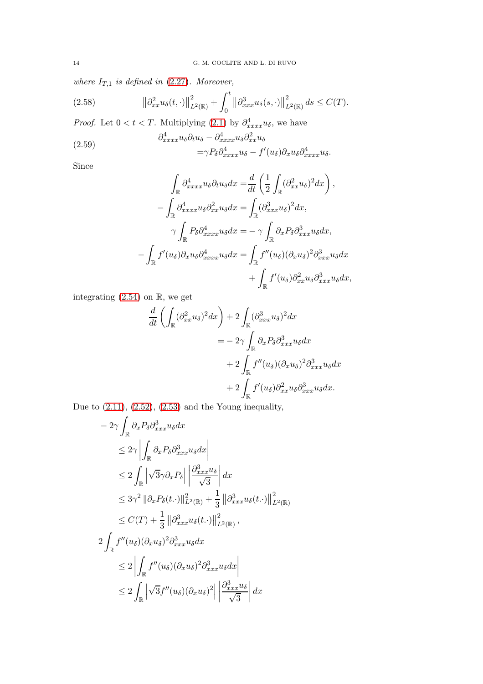where  $I_{T,1}$  is defined in [\(2.27\)](#page-5-4). Moreover,

<span id="page-13-0"></span>(2.58) 
$$
\left\|\partial_{xx}^2 u_\delta(t,\cdot)\right\|_{L^2(\mathbb{R})}^2 + \int_0^t \left\|\partial_{xxx}^3 u_\delta(s,\cdot)\right\|_{L^2(\mathbb{R})}^2 ds \leq C(T).
$$

*Proof.* Let  $0 < t < T$ . Multiplying  $(2.1)$  by  $\partial_{xxxx}^4 u_{\delta}$ , we have

(2.59) 
$$
\partial_{xxxx}^4 u_{\delta} \partial_t u_{\delta} - \partial_{xxxx}^4 u_{\delta} \partial_{xx}^2 u_{\delta} - \gamma P_{\delta} \partial_{xxxx}^4 u_{\delta} - f'(u_{\delta}) \partial_x u_{\delta} \partial_{xxxx}^4 u_{\delta}.
$$

Since

$$
\int_{\mathbb{R}} \partial_{xxxx}^{4} u_{\delta} \partial_{t} u_{\delta} dx = \frac{d}{dt} \left( \frac{1}{2} \int_{\mathbb{R}} (\partial_{xx}^{2} u_{\delta})^{2} dx \right),
$$

$$
- \int_{\mathbb{R}} \partial_{xxxx}^{4} u_{\delta} \partial_{xx}^{2} u_{\delta} dx = \int_{\mathbb{R}} (\partial_{xxx}^{3} u_{\delta})^{2} dx,
$$

$$
\gamma \int_{\mathbb{R}} P_{\delta} \partial_{xxxx}^{4} u_{\delta} dx = - \gamma \int_{\mathbb{R}} \partial_{x} P_{\delta} \partial_{xxxx}^{3} u_{\delta} dx,
$$

$$
- \int_{\mathbb{R}} f'(u_{\delta}) \partial_{x} u_{\delta} \partial_{xxxx}^{4} u_{\delta} dx = \int_{\mathbb{R}} f''(u_{\delta}) (\partial_{x} u_{\delta})^{2} \partial_{xxx}^{3} u_{\delta} dx
$$

$$
+ \int_{\mathbb{R}} f'(u_{\delta}) \partial_{xx}^{2} u_{\delta} \partial_{xxx}^{3} u_{\delta} dx,
$$

integrating  $(2.54)$  on  $\mathbb{R}$ , we get

$$
\frac{d}{dt} \left( \int_{\mathbb{R}} (\partial_{xx}^2 u_{\delta})^2 dx \right) + 2 \int_{\mathbb{R}} (\partial_{xxx}^3 u_{\delta})^2 dx
$$

$$
= -2\gamma \int_{\mathbb{R}} \partial_x P_{\delta} \partial_{xxx}^3 u_{\delta} dx
$$

$$
+ 2 \int_{\mathbb{R}} f''(u_{\delta}) (\partial_x u_{\delta})^2 \partial_{xxx}^3 u_{\delta} dx
$$

$$
+ 2 \int_{\mathbb{R}} f'(u_{\delta}) \partial_{xx}^2 u_{\delta} \partial_{xxx}^3 u_{\delta} dx.
$$

Due to  $(2.11)$ ,  $(2.52)$ ,  $(2.53)$  and the Young inequality,

$$
-2\gamma \int_{\mathbb{R}} \partial_x P_{\delta} \partial_{xxx}^3 u_{\delta} dx
$$
  
\n
$$
\leq 2\gamma \left| \int_{\mathbb{R}} \partial_x P_{\delta} \partial_{xxx}^3 u_{\delta} dx \right|
$$
  
\n
$$
\leq 2 \int_{\mathbb{R}} \left| \sqrt{3} \gamma \partial_x P_{\delta} \right| \left| \frac{\partial_{xxx}^3 u_{\delta}}{\sqrt{3}} \right| dx
$$
  
\n
$$
\leq 3\gamma^2 \left| \partial_x P_{\delta}(t.) \right|_{L^2(\mathbb{R})}^2 + \frac{1}{3} \left| \partial_{xxx}^3 u_{\delta}(t.) \right|_{L^2(\mathbb{R})}^2
$$
  
\n
$$
\leq C(T) + \frac{1}{3} \left| \partial_{xxx}^3 u_{\delta}(t.) \right|_{L^2(\mathbb{R})}^2,
$$
  
\n
$$
2 \int_{\mathbb{R}} f''(u_{\delta})(\partial_x u_{\delta})^2 \partial_{xxx}^3 u_{\delta} dx
$$
  
\n
$$
\leq 2 \left| \int_{\mathbb{R}} f''(u_{\delta})(\partial_x u_{\delta})^2 \partial_{xxx}^3 u_{\delta} dx \right|
$$
  
\n
$$
\leq 2 \int_{\mathbb{R}} \left| \sqrt{3} f''(u_{\delta})(\partial_x u_{\delta})^2 \right| \left| \frac{\partial_{xxx}^3 u_{\delta}}{\sqrt{3}} \right| dx
$$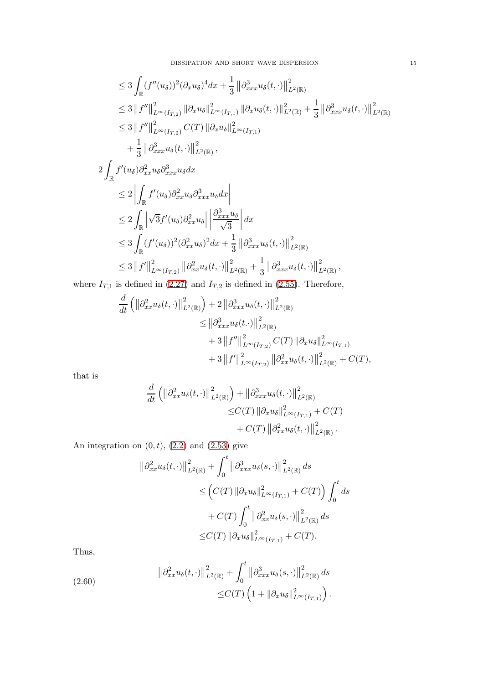$$
\leq 3 \int_{\mathbb{R}} (f''(u_{\delta}))^{2} (\partial_{x} u_{\delta})^{4} dx + \frac{1}{3} \left\| \partial_{xxx}^{3} u_{\delta}(t, \cdot) \right\|_{L^{2}(\mathbb{R})}^{2}
$$
\n
$$
\leq 3 \left\| f'' \right\|_{L^{\infty}(I_{T,2})}^{2} \left\| \partial_{x} u_{\delta} \right\|_{L^{\infty}(I_{T,1})}^{2} \left\| \partial_{x} u_{\delta}(t, \cdot) \right\|_{L^{2}(\mathbb{R})}^{2} + \frac{1}{3} \left\| \partial_{xxx}^{3} u_{\delta}(t, \cdot) \right\|_{L^{2}(\mathbb{R})}^{2}
$$
\n
$$
\leq 3 \left\| f'' \right\|_{L^{\infty}(I_{T,2})}^{2} C(T) \left\| \partial_{x} u_{\delta} \right\|_{L^{\infty}(I_{T,1})}^{2}
$$
\n
$$
+ \frac{1}{3} \left\| \partial_{xxx}^{3} u_{\delta}(t, \cdot) \right\|_{L^{2}(\mathbb{R})}^{2},
$$

$$
2\int_{\mathbb{R}} f'(u_{\delta}) \partial_{xx}^{2} u_{\delta} \partial_{xxx}^{3} u_{\delta} dx
$$
  
\n
$$
\leq 2 \left| \int_{\mathbb{R}} f'(u_{\delta}) \partial_{xx}^{2} u_{\delta} \partial_{xxx}^{3} u_{\delta} dx \right|
$$
  
\n
$$
\leq 2 \int_{\mathbb{R}} \left| \sqrt{3} f'(u_{\delta}) \partial_{xx}^{2} u_{\delta} \right| \left| \frac{\partial_{xxx}^{3} u_{\delta}}{\sqrt{3}} \right| dx
$$
  
\n
$$
\leq 3 \int_{\mathbb{R}} (f'(u_{\delta}))^{2} (\partial_{xx}^{2} u_{\delta})^{2} dx + \frac{1}{3} \left\| \partial_{xxx}^{3} u_{\delta}(t, \cdot) \right\|_{L^{2}(\mathbb{R})}^{2}
$$
  
\n
$$
\leq 3 \left\| f' \right\|_{L^{\infty}(I_{T,2})}^{2} \left\| \partial_{xx}^{2} u_{\delta}(t, \cdot) \right\|_{L^{2}(\mathbb{R})}^{2} + \frac{1}{3} \left\| \partial_{xxx}^{3} u_{\delta}(t, \cdot) \right\|_{L^{2}(\mathbb{R})}^{2},
$$

where  $I_{T,1}$  is defined in [\(2.27\)](#page-5-4) and  $I_{T,2}$  is defined in [\(2.55\)](#page-12-1). Therefore,

$$
\frac{d}{dt} \left( \left\| \partial_{xx}^2 u_{\delta}(t, \cdot) \right\|_{L^2(\mathbb{R})}^2 \right) + 2 \left\| \partial_{xxx}^3 u_{\delta}(t, \cdot) \right\|_{L^2(\mathbb{R})}^2 \n\leq \left\| \partial_{xxx}^3 u_{\delta}(t, \cdot) \right\|_{L^2(\mathbb{R})}^2 \n+ 3 \left\| f'' \right\|_{L^{\infty}(I_{T,2})}^2 C(T) \left\| \partial_x u_{\delta} \right\|_{L^{\infty}(I_{T,1})}^2 \n+ 3 \left\| f'' \right\|_{L^{\infty}(I_{T,2})}^2 \left\| \partial_{xx}^2 u_{\delta}(t, \cdot) \right\|_{L^2(\mathbb{R})}^2 + C(T),
$$

that is

$$
\frac{d}{dt} \left( \left\| \partial_{xx}^2 u_\delta(t, \cdot) \right\|_{L^2(\mathbb{R})}^2 \right) + \left\| \partial_{xxx}^3 u_\delta(t, \cdot) \right\|_{L^2(\mathbb{R})}^2
$$
  
\n
$$
\leq C(T) \left\| \partial_x u_\delta \right\|_{L^\infty(I_{T,1})}^2 + C(T)
$$
  
\n
$$
+ C(T) \left\| \partial_{xx}^2 u_\delta(t, \cdot) \right\|_{L^2(\mathbb{R})}^2.
$$

An integration on  $(0, t)$ ,  $(2.2)$  and  $(2.53)$  give

$$
\|\partial_{xx}^2 u_\delta(t,\cdot)\|_{L^2(\mathbb{R})}^2 + \int_0^t \|\partial_{xxx}^3 u_\delta(s,\cdot)\|_{L^2(\mathbb{R})}^2 ds
$$
  
\n
$$
\leq (C(T) \|\partial_x u_\delta\|_{L^\infty(I_{T,1})}^2 + C(T) \int_0^t ds
$$
  
\n
$$
+ C(T) \int_0^t \|\partial_{xx}^2 u_\delta(s,\cdot)\|_{L^2(\mathbb{R})}^2 ds
$$
  
\n
$$
\leq C(T) \|\partial_x u_\delta\|_{L^\infty(I_{T,1})}^2 + C(T).
$$

Thus,

<span id="page-14-0"></span>(2.60) 
$$
\|\partial_{xx}^2 u_\delta(t,\cdot)\|_{L^2(\mathbb{R})}^2 + \int_0^t \|\partial_{xxx}^3 u_\delta(s,\cdot)\|_{L^2(\mathbb{R})}^2 ds
$$

$$
\leq C(T) \left(1 + \|\partial_x u_\delta\|_{L^\infty(I_{T,1})}^2\right).
$$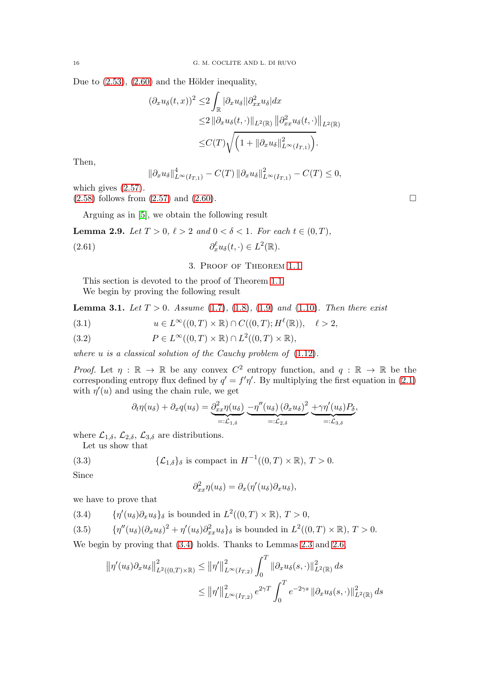Due to  $(2.53)$ ,  $(2.60)$  and the Hölder inequality,

$$
(\partial_x u_\delta(t,x))^2 \leq 2 \int_{\mathbb{R}} |\partial_x u_\delta| |\partial_{xx}^2 u_\delta| dx
$$
  
\n
$$
\leq 2 ||\partial_x u_\delta(t,\cdot)||_{L^2(\mathbb{R})} ||\partial_{xx}^2 u_\delta(t,\cdot)||_{L^2(\mathbb{R})}
$$
  
\n
$$
\leq C(T) \sqrt{\left(1 + ||\partial_x u_\delta||^2_{L^\infty(I_{T,1})}\right)}.
$$

Then,

$$
\|\partial_x u_{\delta}\|_{L^{\infty}(I_{T,1})}^4 - C(T) \|\partial_x u_{\delta}\|_{L^{\infty}(I_{T,1})}^2 - C(T) \leq 0,
$$

which gives [\(2.57\)](#page-12-2).

 $(2.58)$  follows from  $(2.57)$  and  $(2.60)$ .

Arguing as in [\[5\]](#page-19-6), we obtain the following result

<span id="page-15-4"></span>**Lemma 2.9.** Let  $T > 0$ ,  $\ell > 2$  and  $0 < \delta < 1$ . For each  $t \in (0, T)$ ,

<span id="page-15-0"></span>(2.61) 
$$
\partial_x^{\ell} u_{\delta}(t,\cdot) \in L^2(\mathbb{R}).
$$

## 3. Proof of Theorem [1.1](#page-1-7)

This section is devoted to the proof of Theorem [1.1.](#page-1-7) We begin by proving the following result

<span id="page-15-7"></span>**Lemma 3.1.** Let  $T > 0$ . Assume [\(1.7\)](#page-1-1), [\(1.8\)](#page-1-2), [\(1.9\)](#page-1-3) and [\(1.10\)](#page-1-4). Then there exist

<span id="page-15-5"></span>(3.1) 
$$
u \in L^{\infty}((0,T) \times \mathbb{R}) \cap C((0,T);H^{\ell}(\mathbb{R})), \quad \ell > 2,
$$

<span id="page-15-6"></span>(3.2) 
$$
P \in L^{\infty}((0,T) \times \mathbb{R}) \cap L^{2}((0,T) \times \mathbb{R}),
$$

where  $u$  is a classical solution of the Cauchy problem of  $(1.12)$ .

Proof. Let  $\eta : \mathbb{R} \to \mathbb{R}$  be any convex  $C^2$  entropy function, and  $q : \mathbb{R} \to \mathbb{R}$  be the corresponding entropy flux defined by  $q' = f'\eta'$ . By multiplying the first equation in [\(2.1\)](#page-2-2) with  $\eta'(u)$  and using the chain rule, we get

$$
\partial_t \eta(u_\delta) + \partial_x q(u_\delta) = \underbrace{\partial_{xx}^2 \eta(u_\delta)}_{=: \mathcal{L}_{1,\delta}} - \underbrace{\eta''(u_\delta) (\partial_x u_\delta)^2}_{=: \mathcal{L}_{2,\delta}} + \gamma \eta'(u_\delta) P_\delta,
$$

where  $\mathcal{L}_{1,\delta}$ ,  $\mathcal{L}_{2,\delta}$ ,  $\mathcal{L}_{3,\delta}$  are distributions.

Let us show that

(3.3) 
$$
\{\mathcal{L}_{1,\delta}\}_{\delta} \text{ is compact in } H^{-1}((0,T)\times\mathbb{R}), T>0.
$$

Since

<span id="page-15-3"></span>
$$
\partial_{xx}^2 \eta(u_\delta) = \partial_x(\eta'(u_\delta) \partial_x u_\delta),
$$

we have to prove that

<span id="page-15-1"></span>(3.4)  $\{\eta'(u_{\delta})\partial_x u_{\delta}\}_{\delta}$  is bounded in  $L^2((0,T)\times\mathbb{R}), T > 0,$ 

<span id="page-15-2"></span>(3.5) 
$$
\{\eta''(u_{\delta})(\partial_x u_{\delta})^2 + \eta'(u_{\delta})\partial_{xx}^2 u_{\delta}\}_\delta \text{ is bounded in } L^2((0,T)\times\mathbb{R}), T>0.
$$

We begin by proving that [\(3.4\)](#page-15-1) holds. Thanks to Lemmas [2.3](#page-3-6) and [2.6,](#page-11-3)

$$
\|\eta'(u_{\delta})\partial_x u_{\delta}\|_{L^2((0,T)\times\mathbb{R})}^2 \le \|\eta'\|_{L^{\infty}(I_{T,2})}^2 \int_0^T \|\partial_x u_{\delta}(s,\cdot)\|_{L^2(\mathbb{R})}^2 ds
$$
  

$$
\le \|\eta'\|_{L^{\infty}(I_{T,2})}^2 e^{2\gamma T} \int_0^T e^{-2\gamma s} \|\partial_x u_{\delta}(s,\cdot)\|_{L^2(\mathbb{R})}^2 ds
$$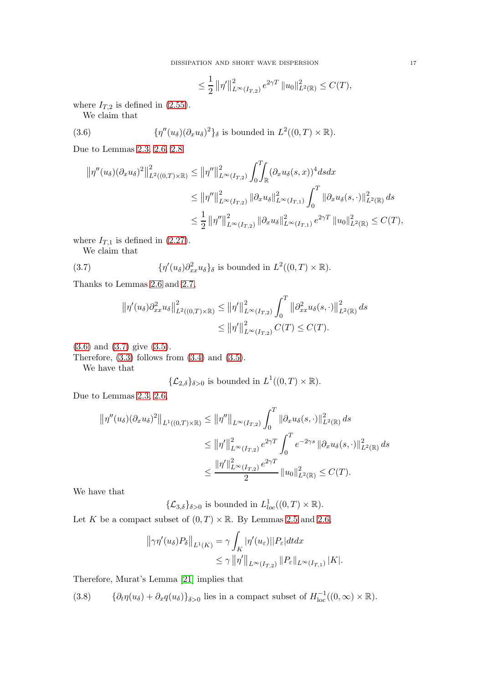<span id="page-16-0"></span>
$$
\leq \frac{1}{2} ||\eta'||_{L^{\infty}(I_{T,2})}^{2} e^{2\gamma T} ||u_{0}||_{L^{2}(\mathbb{R})}^{2} \leq C(T),
$$

where  $I_{T,2}$  is defined in [\(2.55\)](#page-12-1).

We claim that

(3.6) 
$$
\{\eta''(u_{\delta})(\partial_x u_{\delta})^2\}_{\delta} \text{ is bounded in } L^2((0,T)\times\mathbb{R}).
$$

Due to Lemmas [2.3,](#page-3-6) [2.6,](#page-11-3) [2.8](#page-12-3)

$$
\begin{split} \left\| \eta''(u_{\delta})(\partial_{x} u_{\delta})^{2} \right\|^{2}_{L^{2}((0,T)\times\mathbb{R})} &\leq \left\| \eta'' \right\|^{2}_{L^{\infty}(I_{T,2})} \int_{0}^{T} \int_{\mathbb{R}} (\partial_{x} u_{\delta}(s,x))^{4} ds dx \\ &\leq \left\| \eta'' \right\|^{2}_{L^{\infty}(I_{T,2})} \left\| \partial_{x} u_{\delta} \right\|^{2}_{L^{\infty}(I_{T,1})} \int_{0}^{T} \left\| \partial_{x} u_{\delta}(s,\cdot) \right\|^{2}_{L^{2}(\mathbb{R})} ds \\ &\leq \frac{1}{2} \left\| \eta'' \right\|^{2}_{L^{\infty}(I_{T,2})} \left\| \partial_{x} u_{\delta} \right\|^{2}_{L^{\infty}(I_{T,1})} e^{2\gamma T} \left\| u_{0} \right\|^{2}_{L^{2}(\mathbb{R})} \leq C(T), \end{split}
$$

where  $I_{T,1}$  is defined in [\(2.27\)](#page-5-4).

We claim that

(3.7) 
$$
\{\eta'(u_{\delta})\partial_{xx}^2 u_{\delta}\}_{\delta} \text{ is bounded in } L^2((0,T)\times\mathbb{R}).
$$

Thanks to Lemmas [2.6](#page-11-3) and [2.7,](#page-11-4)

<span id="page-16-1"></span>
$$
\|\eta'(u_{\delta})\partial_{xx}^{2}u_{\delta}\|_{L^{2}((0,T)\times\mathbb{R})}^{2} \leq \|\eta'\|_{L^{\infty}(I_{T,2})}^{2} \int_{0}^{T} \|\partial_{xx}^{2}u_{\delta}(s,\cdot)\|_{L^{2}(\mathbb{R})}^{2} ds
$$
  

$$
\leq \|\eta'\|_{L^{\infty}(I_{T,2})}^{2} C(T) \leq C(T).
$$

[\(3.6\)](#page-16-0) and [\(3.7\)](#page-16-1) give [\(3.5\)](#page-15-2).

Therefore,  $(3.3)$  follows from  $(3.4)$  and  $(3.5)$ .

We have that

$$
\{\mathcal{L}_{2,\delta}\}_{\delta>0}
$$
 is bounded in  $L^1((0,T)\times\mathbb{R})$ .

Due to Lemmas [2.3,](#page-3-6) [2.6,](#page-11-3)

$$
\|\eta''(u_{\delta})(\partial_x u_{\delta})^2\|_{L^1((0,T)\times\mathbb{R})} \le \|\eta''\|_{L^{\infty}(I_{T,2})} \int_0^T \|\partial_x u_{\delta}(s,\cdot)\|_{L^2(\mathbb{R})}^2 ds
$$
  

$$
\le \|\eta'\|_{L^{\infty}(I_{T,2})}^2 e^{2\gamma T} \int_0^T e^{-2\gamma s} \|\partial_x u_{\delta}(s,\cdot)\|_{L^2(\mathbb{R})}^2 ds
$$
  

$$
\le \frac{\|\eta'\|_{L^{\infty}(I_{T,2})}^2 e^{2\gamma T}}{2} \|u_0\|_{L^2(\mathbb{R})}^2 \le C(T).
$$

We have that

 $\{\mathcal{L}_{3,\delta}\}_{\delta>0}$  is bounded in  $L^1_{loc}((0,T)\times\mathbb{R})$ .

Let K be a compact subset of  $(0, T) \times \mathbb{R}$ . By Lemmas [2.5](#page-5-9) and [2.6,](#page-11-3)

$$
\|\gamma\eta'(u_\delta)P_\delta\|_{L^1(K)} = \gamma \int_K |\eta'(u_\varepsilon)||P_\varepsilon| dt dx
$$
  

$$
\leq \gamma \|\eta'\|_{L^\infty(I_{T,2})} \|P_\varepsilon\|_{L^\infty(I_{T,1})} |K|.
$$

Therefore, Murat's Lemma [\[21\]](#page-20-20) implies that

<span id="page-16-2"></span>(3.8)  $\{\partial_t \eta(u_\delta) + \partial_x q(u_\delta)\}_{\delta > 0}$  lies in a compact subset of  $H^{-1}_{loc}((0, \infty) \times \mathbb{R})$ .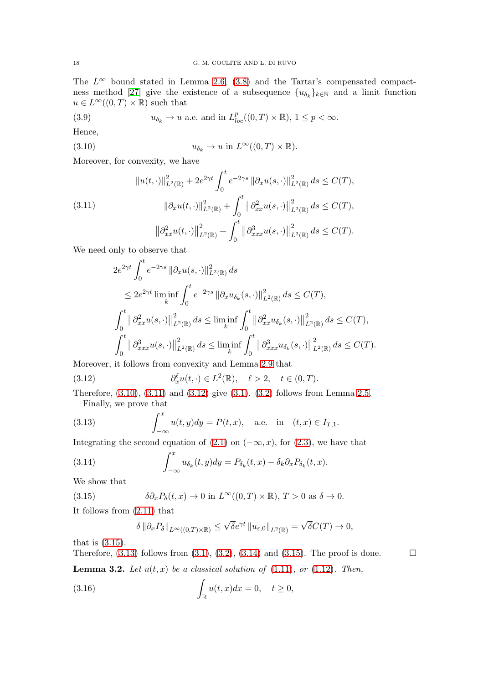The  $L^{\infty}$  bound stated in Lemma [2.6,](#page-11-3) [\(3.8\)](#page-16-2) and the Tartar's compensated compact-ness method [\[27\]](#page-20-19) give the existence of a subsequence  $\{u_{\delta_k}\}_{k\in\mathbb{N}}$  and a limit function  $u \in L^{\infty}((0,T) \times \mathbb{R})$  such that

(3.9) 
$$
u_{\delta_k} \to u \text{ a.e. and in } L^p_{loc}((0,T) \times \mathbb{R}), 1 \le p < \infty.
$$

Hence,

<span id="page-17-0"></span>(3.10) 
$$
u_{\delta_k} \to u \text{ in } L^{\infty}((0,T) \times \mathbb{R}).
$$

Moreover, for convexity, we have

<span id="page-17-1"></span>(3.11) 
$$
||u(t, \cdot)||_{L^{2}(\mathbb{R})}^{2} + 2e^{2\gamma t} \int_{0}^{t} e^{-2\gamma s} ||\partial_{x}u(s, \cdot)||_{L^{2}(\mathbb{R})}^{2} ds \leq C(T),
$$

$$
||\partial_{x}u(t, \cdot)||_{L^{2}(\mathbb{R})}^{2} + \int_{0}^{t} ||\partial_{xx}^{2}u(s, \cdot)||_{L^{2}(\mathbb{R})}^{2} ds \leq C(T),
$$

$$
||\partial_{xx}^{2}u(t, \cdot)||_{L^{2}(\mathbb{R})}^{2} + \int_{0}^{t} ||\partial_{xxx}^{3}u(s, \cdot)||_{L^{2}(\mathbb{R})}^{2} ds \leq C(T).
$$

We need only to observe that

$$
2e^{2\gamma t} \int_0^t e^{-2\gamma s} \|\partial_x u(s, \cdot)\|_{L^2(\mathbb{R})}^2 ds
$$
  
\n
$$
\leq 2e^{2\gamma t} \liminf_k \int_0^t e^{-2\gamma s} \|\partial_x u_{\delta_k}(s, \cdot)\|_{L^2(\mathbb{R})}^2 ds \leq C(T),
$$
  
\n
$$
\int_0^t \|\partial_{xx}^2 u(s, \cdot)\|_{L^2(\mathbb{R})}^2 ds \leq \liminf_k \int_0^t \|\partial_{xx}^2 u_{\delta_k}(s, \cdot)\|_{L^2(\mathbb{R})}^2 ds \leq C(T),
$$
  
\n
$$
\int_0^t \|\partial_{xxx}^3 u(s, \cdot)\|_{L^2(\mathbb{R})}^2 ds \leq \liminf_k \int_0^t \|\partial_{xxx}^3 u_{\delta_k}(s, \cdot)\|_{L^2(\mathbb{R})}^2 ds \leq C(T).
$$

Moreover, it follows from convexity and Lemma [2.9](#page-15-4) that

<span id="page-17-2"></span>(3.12) 
$$
\partial_x^{\ell} u(t, \cdot) \in L^2(\mathbb{R}), \quad \ell > 2, \quad t \in (0, T).
$$

Therefore, [\(3.10\)](#page-17-0), [\(3.11\)](#page-17-1) and [\(3.12\)](#page-17-2) give [\(3.1\)](#page-15-5). [\(3.2\)](#page-15-6) follows from Lemma [2.5.](#page-5-9) Finally, we prove that

<span id="page-17-4"></span>(3.13) 
$$
\int_{-\infty}^{x} u(t, y) dy = P(t, x), \text{ a.e. in } (t, x) \in I_{T, 1}.
$$

Integrating the second equation of [\(2.1\)](#page-2-2) on  $(-\infty, x)$ , for [\(2.3\)](#page-2-1), we have that

(3.14) 
$$
\int_{-\infty}^{x} u_{\delta_k}(t, y) dy = P_{\delta_k}(t, x) - \delta_k \partial_x P_{\delta_k}(t, x).
$$

We show that

(3.15) 
$$
\delta \partial_x P_\delta(t,x) \to 0 \text{ in } L^\infty((0,T) \times \mathbb{R}), T > 0 \text{ as } \delta \to 0.
$$

<span id="page-17-7"></span>**Lemma 3.2.** Let  $u(t, x)$  be a classical solution of  $(1.11)$ , or  $(1.12)$ . Then,

It follows from [\(2.11\)](#page-3-5) that

<span id="page-17-6"></span><span id="page-17-5"></span><span id="page-17-3"></span>
$$
\delta \left\|\partial_x P_\delta\right\|_{L^\infty((0,T)\times\mathbb{R})} \leq \sqrt{\delta}e^{\gamma t} \left\|u_{\varepsilon,0}\right\|_{L^2(\mathbb{R})} = \sqrt{\delta}C(T) \to 0,
$$

that is [\(3.15\)](#page-17-3).

Therefore,  $(3.13)$  follows from  $(3.1)$ ,  $(3.2)$ ,  $(3.14)$  and  $(3.15)$ . The proof is done.

(3.16) 
$$
\int_{\mathbb{R}} u(t,x)dx = 0, \quad t \ge 0,
$$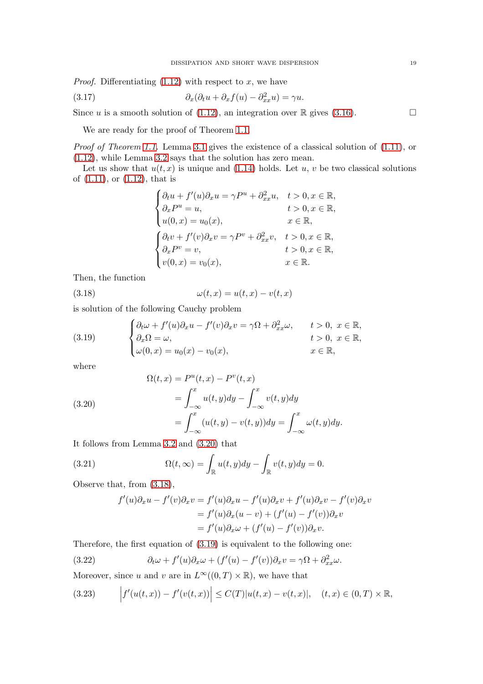*Proof.* Differentiating  $(1.12)$  with respect to x, we have

(3.17) 
$$
\partial_x(\partial_t u + \partial_x f(u) - \partial_{xx}^2 u) = \gamma u.
$$

Since u is a smooth solution of [\(1.12\)](#page-1-6), an integration over  $\mathbb R$  gives [\(3.16\)](#page-17-6).

We are ready for the proof of Theorem [1.1.](#page-1-7)

Proof of Theorem [1.1.](#page-1-7) Lemma [3.1](#page-15-7) gives the existence of a classical solution of  $(1.11)$ , or [\(1.12\)](#page-1-6), while Lemma [3.2](#page-17-7) says that the solution has zero mean.

Let us show that  $u(t, x)$  is unique and [\(1.14\)](#page-1-8) holds. Let u, v be two classical solutions of [\(1.11\)](#page-1-5), or [\(1.12\)](#page-1-6), that is

<span id="page-18-1"></span>
$$
\begin{cases}\n\partial_t u + f'(u)\partial_x u = \gamma P^u + \partial_{xx}^2 u, & t > 0, x \in \mathbb{R}, \\
\partial_x P^u = u, & t > 0, x \in \mathbb{R}, \\
u(0, x) = u_0(x), & x \in \mathbb{R}, \\
\partial_t v + f'(v)\partial_x v = \gamma P^v + \partial_{xx}^2 v, & t > 0, x \in \mathbb{R}, \\
\partial_x P^v = v, & t > 0, x \in \mathbb{R}, \\
v(0, x) = v_0(x), & x \in \mathbb{R}.\n\end{cases}
$$

Then, the function

(3.18) 
$$
\omega(t,x) = u(t,x) - v(t,x)
$$

is solution of the following Cauchy problem

<span id="page-18-2"></span>(3.19) 
$$
\begin{cases} \partial_t \omega + f'(u)\partial_x u - f'(v)\partial_x v = \gamma \Omega + \partial_{xx}^2 \omega, & t > 0, \ x \in \mathbb{R}, \\ \partial_x \Omega = \omega, & t > 0, \ x \in \mathbb{R}, \\ \omega(0, x) = u_0(x) - v_0(x), & x \in \mathbb{R}, \end{cases}
$$

where

<span id="page-18-0"></span>(3.20)  
\n
$$
\Omega(t, x) = P^{u}(t, x) - P^{v}(t, x)
$$
\n
$$
= \int_{-\infty}^{x} u(t, y) dy - \int_{-\infty}^{x} v(t, y) dy
$$
\n
$$
= \int_{-\infty}^{x} (u(t, y) - v(t, y)) dy = \int_{-\infty}^{x} \omega(t, y) dy.
$$

It follows from Lemma [3.2](#page-17-7) and [\(3.20\)](#page-18-0) that

(3.21) 
$$
\Omega(t,\infty) = \int_{\mathbb{R}} u(t,y) dy - \int_{\mathbb{R}} v(t,y) dy = 0.
$$

Observe that, from [\(3.18\)](#page-18-1),

<span id="page-18-4"></span>
$$
f'(u)\partial_x u - f'(v)\partial_x v = f'(u)\partial_x u - f'(u)\partial_x v + f'(u)\partial_x v - f'(v)\partial_x v
$$
  
= 
$$
f'(u)\partial_x (u - v) + (f'(u) - f'(v))\partial_x v
$$
  
= 
$$
f'(u)\partial_x \omega + (f'(u) - f'(v))\partial_x v.
$$

Therefore, the first equation of [\(3.19\)](#page-18-2) is equivalent to the following one:

(3.22) 
$$
\partial_t \omega + f'(u)\partial_x \omega + (f'(u) - f'(v))\partial_x v = \gamma \Omega + \partial_{xx}^2 \omega.
$$

Moreover, since u and v are in  $L^{\infty}((0,T) \times \mathbb{R})$ , we have that

<span id="page-18-3"></span>
$$
(3.23) \t\t \t\t \left|f'(u(t,x)) - f'(v(t,x))\right| \leq C(T)|u(t,x) - v(t,x)|, \quad (t,x) \in (0,T) \times \mathbb{R},
$$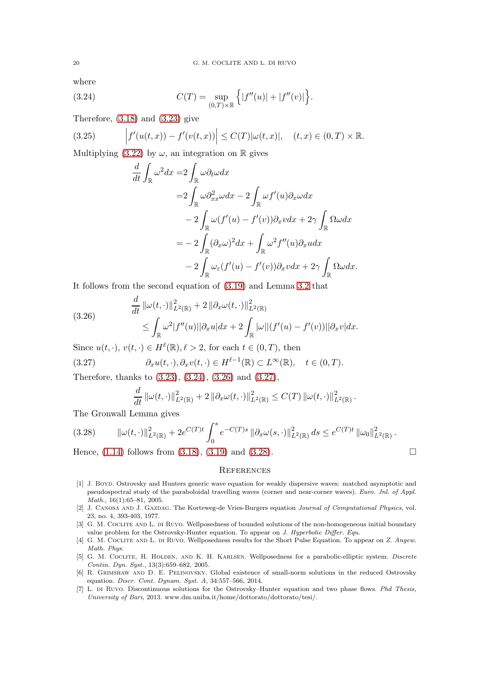where

(3.24) 
$$
C(T) = \sup_{(0,T)\times\mathbb{R}} \left\{ |f''(u)| + |f''(v)| \right\}.
$$

Therefore,  $(3.18)$  and  $(3.23)$  give

(3.25) 
$$
\left| f'(u(t,x)) - f'(v(t,x)) \right| \leq C(T) |\omega(t,x)|, \quad (t,x) \in (0,T) \times \mathbb{R}.
$$

Multiplying [\(3.22\)](#page-18-4) by  $\omega$ , an integration on R gives

<span id="page-19-7"></span>
$$
\frac{d}{dt} \int_{\mathbb{R}} \omega^2 dx = 2 \int_{\mathbb{R}} \omega \partial_t \omega dx
$$
  
\n
$$
= 2 \int_{\mathbb{R}} \omega \partial_{xx}^2 \omega dx - 2 \int_{\mathbb{R}} \omega f'(u) \partial_x \omega dx
$$
  
\n
$$
- 2 \int_{\mathbb{R}} \omega (f'(u) - f'(v)) \partial_x v dx + 2\gamma \int_{\mathbb{R}} \Omega \omega dx
$$
  
\n
$$
= -2 \int_{\mathbb{R}} (\partial_x \omega)^2 dx + \int_{\mathbb{R}} \omega^2 f''(u) \partial_x u dx
$$
  
\n
$$
-2 \int_{\mathbb{R}} \omega_{\varepsilon} (f'(u) - f'(v)) \partial_x v dx + 2\gamma \int_{\mathbb{R}} \Omega \omega dx.
$$

It follows from the second equation of [\(3.19\)](#page-18-2) and Lemma [3.2](#page-17-7) that

<span id="page-19-8"></span>(3.26) 
$$
\frac{d}{dt} ||\omega(t, \cdot)||_{L^2(\mathbb{R})}^2 + 2 ||\partial_x \omega(t, \cdot)||_{L^2(\mathbb{R})}^2 \leq \int_{\mathbb{R}} \omega^2 |f''(u)||\partial_x u| dx + 2 \int_{\mathbb{R}} |\omega||(f'(u) - f'(v))||\partial_x v| dx.
$$

Since  $u(t, \cdot), v(t, \cdot) \in H^{\ell}(\mathbb{R}), \ell > 2$ , for each  $t \in (0, T)$ , then

(3.27) 
$$
\partial_x u(t,\cdot), \partial_x v(t,\cdot) \in H^{\ell-1}(\mathbb{R}) \subset L^{\infty}(\mathbb{R}), \quad t \in (0,T).
$$

Therefore, thanks to [\(3.23\)](#page-18-3), [\(3.24\)](#page-19-7), [\(3.26\)](#page-19-8) and [\(3.27\)](#page-19-9),

<span id="page-19-9"></span>
$$
\frac{d}{dt} \|\omega(t,\cdot)\|_{L^2(\mathbb{R})}^2 + 2 \|\partial_x \omega(t,\cdot)\|_{L^2(\mathbb{R})}^2 \leq C(T) \|\omega(t,\cdot)\|_{L^2(\mathbb{R})}^2.
$$

The Gronwall Lemma gives

<span id="page-19-10"></span>
$$
(3.28) \qquad \|\omega(t,\cdot)\|_{L^2(\mathbb{R})}^2 + 2e^{C(T)t} \int_0^s e^{-C(T)s} \|\partial_x \omega(s,\cdot)\|_{L^2(\mathbb{R})}^2 ds \leq e^{C(T)t} \|\omega_0\|_{L^2(\mathbb{R})}^2.
$$

Hence,  $(1.14)$  follows from  $(3.18)$ ,  $(3.19)$  and  $(3.28)$ .

### **REFERENCES**

- <span id="page-19-3"></span>[1] J. Boyd. Ostrovsky and Hunters generic wave equation for weakly dispersive waves: matched asymptotic and pseudospectral study of the paraboloidal travelling waves (corner and near-corner waves). Euro. Jnl. of Appl. Math., 16(1):65–81, 2005.
- <span id="page-19-0"></span>[2] J. Canosa and J. Gazdag. The Korteweg-de Vries-Burgers equation Journal of Computational Physics, vol. 23, no. 4, 393-403, 1977.
- <span id="page-19-4"></span>[3] G. M. COCLITE AND L. DI RUVO. Wellposedness of bounded solutions of the non-homogeneous initial boundary value problem for the Ostrovsky-Hunter equation. To appear on J. Hyperbolic Differ. Equ.
- <span id="page-19-5"></span>[4] G. M. COCLITE AND L. DI RUVO. Wellposedness results for the Short Pulse Equation. To appear on Z. Angew. Math. Phys.
- <span id="page-19-6"></span>[5] G. M. Coclite, H. Holden, and K. H. Karlsen. Wellposedness for a parabolic-elliptic system. Discrete Contin. Dyn. Syst., 13(3):659–682, 2005.
- <span id="page-19-2"></span>[6] R. GRIMSHAW AND D. E. PELINOVSKY. Global existence of small-norm solutions in the reduced Ostrovsky equation. Discr. Cont. Dynam. Syst. A, 34:557–566, 2014.
- <span id="page-19-1"></span>[7] L. di Ruvo. Discontinuous solutions for the Ostrovsky–Hunter equation and two phase flows. Phd Thesis, University of Bari, 2013. www.dm.uniba.it/home/dottorato/dottorato/tesi/.